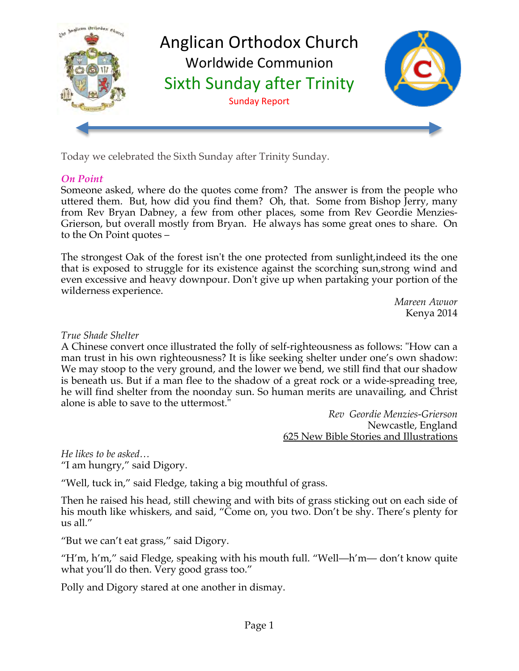

Today we celebrated the Sixth Sunday after Trinity Sunday.

## *On Point*

Someone asked, where do the quotes come from? The answer is from the people who uttered them. But, how did you find them? Oh, that. Some from Bishop Jerry, many from Rev Bryan Dabney, a few from other places, some from Rev Geordie Menzies-Grierson, but overall mostly from Bryan. He always has some great ones to share. On to the On Point quotes –

The strongest Oak of the forest isn't the one protected from sunlight,indeed its the one that is exposed to struggle for its existence against the scorching sun,strong wind and even excessive and heavy downpour. Don't give up when partaking your portion of the wilderness experience.

> *Mareen Awuor* Kenya 2014

#### *True Shade Shelter*

A Chinese convert once illustrated the folly of self-righteousness as follows: "How can a man trust in his own righteousness? It is like seeking shelter under one's own shadow: We may stoop to the very ground, and the lower we bend, we still find that our shadow is beneath us. But if a man flee to the shadow of a great rock or a wide-spreading tree, he will find shelter from the noonday sun. So human merits are unavailing, and Christ alone is able to save to the uttermost."

> *Rev Geordie Menzies-Grierson* Newcastle, England 625 New Bible Stories and Illustrations

*He likes to be asked…* "I am hungry," said Digory.

"Well, tuck in," said Fledge, taking a big mouthful of grass.

Then he raised his head, still chewing and with bits of grass sticking out on each side of his mouth like whiskers, and said, "Come on, you two. Don't be shy. There's plenty for us all."

"But we can't eat grass," said Digory.

"H'm, h'm," said Fledge, speaking with his mouth full. "Well—h'm— don't know quite what you'll do then. Very good grass too."

Polly and Digory stared at one another in dismay.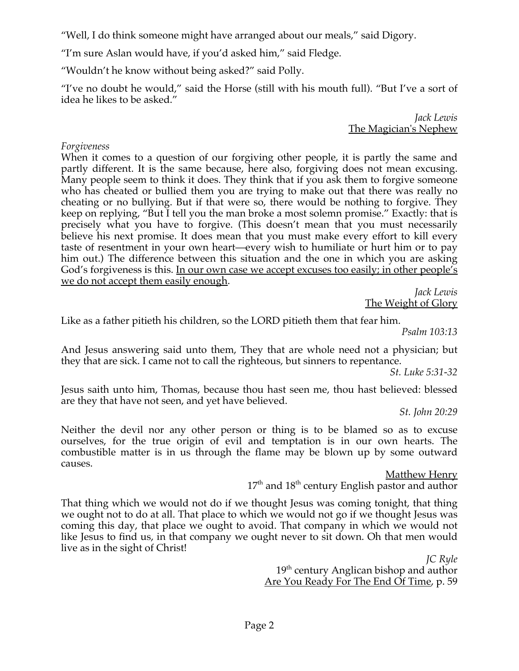"Well, I do think someone might have arranged about our meals," said Digory.

"I'm sure Aslan would have, if you'd asked him," said Fledge.

"Wouldn't he know without being asked?" said Polly.

"I've no doubt he would," said the Horse (still with his mouth full). "But I've a sort of idea he likes to be asked."

> *Jack Lewis* The Magician's Nephew

#### *Forgiveness*

When it comes to a question of our forgiving other people, it is partly the same and partly different. It is the same because, here also, forgiving does not mean excusing. Many people seem to think it does. They think that if you ask them to forgive someone who has cheated or bullied them you are trying to make out that there was really no cheating or no bullying. But if that were so, there would be nothing to forgive. They keep on replying, "But I tell you the man broke a most solemn promise." Exactly: that is precisely what you have to forgive. (This doesn't mean that you must necessarily believe his next promise. It does mean that you must make every effort to kill every taste of resentment in your own heart—every wish to humiliate or hurt him or to pay him out.) The difference between this situation and the one in which you are asking God's forgiveness is this. In our own case we accept excuses too easily; in other people's we do not accept them easily enough.

*Jack Lewis* The Weight of Glory

Like as a father pitieth his children, so the LORD pitieth them that fear him.

*Psalm 103:13*

And Jesus answering said unto them, They that are whole need not a physician; but they that are sick. I came not to call the righteous, but sinners to repentance.

*St. Luke 5:31-32*

Jesus saith unto him, Thomas, because thou hast seen me, thou hast believed: blessed are they that have not seen, and yet have believed.

*St. John 20:29*

Neither the devil nor any other person or thing is to be blamed so as to excuse ourselves, for the true origin of evil and temptation is in our own hearts. The combustible matter is in us through the flame may be blown up by some outward causes.

> Matthew Henry  $17<sup>th</sup>$  and  $18<sup>th</sup>$  century English pastor and author

That thing which we would not do if we thought Jesus was coming tonight, that thing we ought not to do at all. That place to which we would not go if we thought Jesus was coming this day, that place we ought to avoid. That company in which we would not like Jesus to find us, in that company we ought never to sit down. Oh that men would live as in the sight of Christ!

*JC Ryle* 19<sup>th</sup> century Anglican bishop and author Are You Ready For The End Of Time, p. 59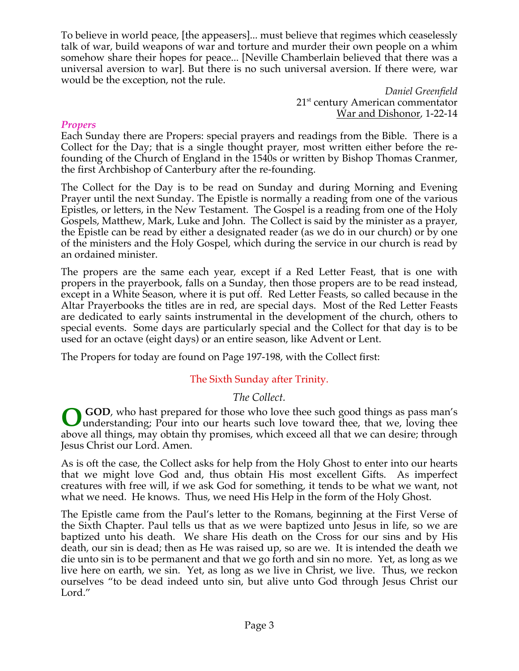To believe in world peace, [the appeasers]... must believe that regimes which ceaselessly talk of war, build weapons of war and torture and murder their own people on a whim somehow share their hopes for peace... [Neville Chamberlain believed that there was a universal aversion to war]. But there is no such universal aversion. If there were, war would be the exception, not the rule.

*Daniel Greenfield* 21<sup>st</sup> century American commentator War and Dishonor, 1-22-14

#### *Propers*

Each Sunday there are Propers: special prayers and readings from the Bible. There is a Collect for the Day; that is a single thought prayer, most written either before the refounding of the Church of England in the 1540s or written by Bishop Thomas Cranmer, the first Archbishop of Canterbury after the re-founding.

The Collect for the Day is to be read on Sunday and during Morning and Evening Prayer until the next Sunday. The Epistle is normally a reading from one of the various Epistles, or letters, in the New Testament. The Gospel is a reading from one of the Holy Gospels, Matthew, Mark, Luke and John. The Collect is said by the minister as a prayer, the Epistle can be read by either a designated reader (as we do in our church) or by one of the ministers and the Holy Gospel, which during the service in our church is read by an ordained minister.

The propers are the same each year, except if a Red Letter Feast, that is one with propers in the prayerbook, falls on a Sunday, then those propers are to be read instead, except in a White Season, where it is put off. Red Letter Feasts, so called because in the Altar Prayerbooks the titles are in red, are special days. Most of the Red Letter Feasts are dedicated to early saints instrumental in the development of the church, others to special events. Some days are particularly special and the Collect for that day is to be used for an octave (eight days) or an entire season, like Advent or Lent.

The Propers for today are found on Page 197-198, with the Collect first:

# The Sixth Sunday after Trinity.

# *The Collect.*

 **GOD**, who hast prepared for those who love thee such good things as pass man's **O** GOD, who hast prepared for those who love thee such good things as pass man's understanding; Pour into our hearts such love toward thee, that we, loving thee above all things, may obtain thy promises, which exceed all that we can desire; through Jesus Christ our Lord. Amen.

As is oft the case, the Collect asks for help from the Holy Ghost to enter into our hearts that we might love God and, thus obtain His most excellent Gifts. As imperfect creatures with free will, if we ask God for something, it tends to be what we want, not what we need. He knows. Thus, we need His Help in the form of the Holy Ghost.

The Epistle came from the Paul's letter to the Romans, beginning at the First Verse of the Sixth Chapter. Paul tells us that as we were baptized unto Jesus in life, so we are baptized unto his death. We share His death on the Cross for our sins and by His death, our sin is dead; then as He was raised up, so are we. It is intended the death we die unto sin is to be permanent and that we go forth and sin no more. Yet, as long as we live here on earth, we sin. Yet, as long as we live in Christ, we live. Thus, we reckon ourselves "to be dead indeed unto sin, but alive unto God through Jesus Christ our Lord."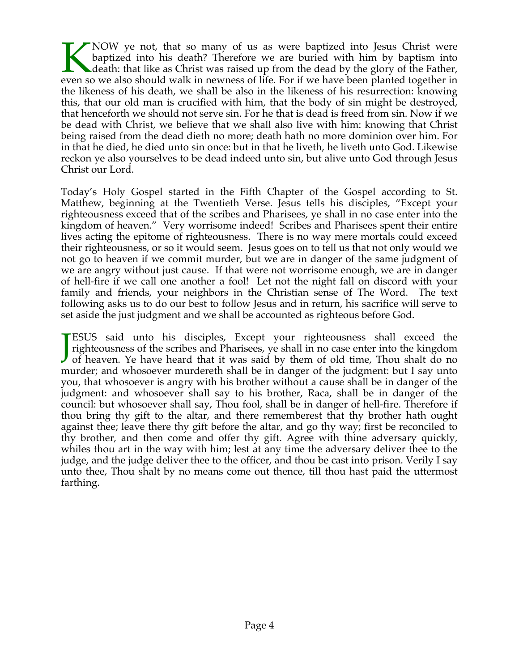NOW ye not, that so many of us as were baptized into Jesus Christ were baptized into his death? Therefore we are buried with him by baptism into death: that like as Christ was raised up from the dead by the glory of the Father, NOW ye not, that so many of us as were baptized into Jesus Christ were baptized into his death? Therefore we are buried with him by baptism into death: that like as Christ was raised up from the dead by the glory of the Fa the likeness of his death, we shall be also in the likeness of his resurrection: knowing this, that our old man is crucified with him, that the body of sin might be destroyed, that henceforth we should not serve sin. For he that is dead is freed from sin. Now if we be dead with Christ, we believe that we shall also live with him: knowing that Christ being raised from the dead dieth no more; death hath no more dominion over him. For in that he died, he died unto sin once: but in that he liveth, he liveth unto God. Likewise reckon ye also yourselves to be dead indeed unto sin, but alive unto God through Jesus Christ our Lord.

Today's Holy Gospel started in the Fifth Chapter of the Gospel according to St. Matthew, beginning at the Twentieth Verse. Jesus tells his disciples, "Except your righteousness exceed that of the scribes and Pharisees, ye shall in no case enter into the kingdom of heaven." Very worrisome indeed! Scribes and Pharisees spent their entire lives acting the epitome of righteousness. There is no way mere mortals could exceed their righteousness, or so it would seem. Jesus goes on to tell us that not only would we not go to heaven if we commit murder, but we are in danger of the same judgment of we are angry without just cause. If that were not worrisome enough, we are in danger of hell-fire if we call one another a fool! Let not the night fall on discord with your family and friends, your neighbors in the Christian sense of The Word. The text following asks us to do our best to follow Jesus and in return, his sacrifice will serve to set aside the just judgment and we shall be accounted as righteous before God.

ESUS said unto his disciples, Except your righteousness shall exceed the righteousness of the scribes and Pharisees, ye shall in no case enter into the kingdom **JESUS** said unto his disciples, Except your righteousness shall exceed the righteousness of the scribes and Pharisees, ye shall in no case enter into the kingdom of heaven. Ye have heard that it was said by them of old ti murder; and whosoever murdereth shall be in danger of the judgment: but I say unto you, that whosoever is angry with his brother without a cause shall be in danger of the judgment: and whosoever shall say to his brother, Raca, shall be in danger of the council: but whosoever shall say, Thou fool, shall be in danger of hell-fire. Therefore if thou bring thy gift to the altar, and there rememberest that thy brother hath ought against thee; leave there thy gift before the altar, and go thy way; first be reconciled to thy brother, and then come and offer thy gift. Agree with thine adversary quickly, whiles thou art in the way with him; lest at any time the adversary deliver thee to the judge, and the judge deliver thee to the officer, and thou be cast into prison. Verily I say unto thee, Thou shalt by no means come out thence, till thou hast paid the uttermost farthing.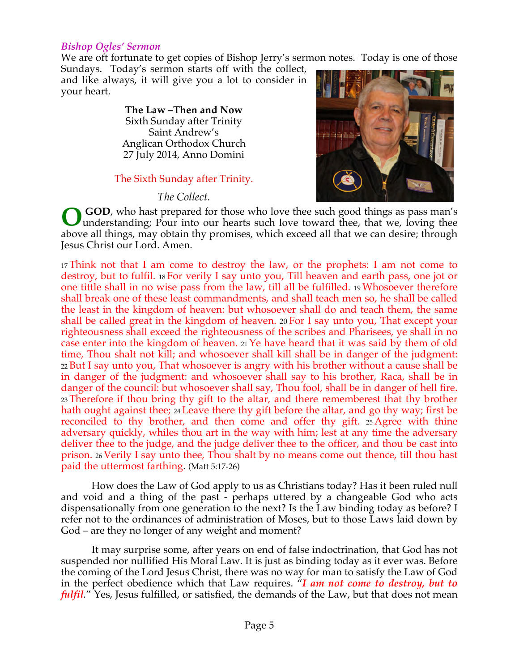#### *Bishop Ogles' Sermon*

We are oft fortunate to get copies of Bishop Jerry's sermon notes. Today is one of those

Sundays. Today's sermon starts off with the collect, and like always, it will give you a lot to consider in your heart.

> **The Law –Then and Now** Sixth Sunday after Trinity Saint Andrew's Anglican Orthodox Church 27 July 2014, Anno Domini

## The Sixth Sunday after Trinity.

*The Collect.*



 **GOD**, who hast prepared for those who love thee such good things as pass man's understanding; Pour into our hearts such love toward thee, that we, loving thee above all things, may obtain thy promises, which exceed all that we can desire; through Jesus Christ our Lord. Amen. **O**

<sup>17</sup> Think not that I am come to destroy the law, or the prophets: I am not come to destroy, but to fulfil. 18 For verily I say unto you, Till heaven and earth pass, one jot or one tittle shall in no wise pass from the law, till all be fulfilled. 19 Whosoever therefore shall break one of these least commandments, and shall teach men so, he shall be called the least in the kingdom of heaven: but whosoever shall do and teach them, the same shall be called great in the kingdom of heaven. 20 For I say unto you, That except your righteousness shall exceed the righteousness of the scribes and Pharisees, ye shall in no case enter into the kingdom of heaven. 21 Ye have heard that it was said by them of old time, Thou shalt not kill; and whosoever shall kill shall be in danger of the judgment: <sup>22</sup> But I say unto you, That whosoever is angry with his brother without a cause shall be in danger of the judgment: and whosoever shall say to his brother, Raca, shall be in danger of the council: but whosoever shall say, Thou fool, shall be in danger of hell fire. <sup>23</sup> Therefore if thou bring thy gift to the altar, and there rememberest that thy brother hath ought against thee; 24 Leave there thy gift before the altar, and go thy way; first be reconciled to thy brother, and then come and offer thy gift. 25 Agree with thine adversary quickly, whiles thou art in the way with him; lest at any time the adversary deliver thee to the judge, and the judge deliver thee to the officer, and thou be cast into prison. 26 Verily I say unto thee, Thou shalt by no means come out thence, till thou hast paid the uttermost farthing. (Matt 5:17-26)

 How does the Law of God apply to us as Christians today? Has it been ruled null and void and a thing of the past - perhaps uttered by a changeable God who acts dispensationally from one generation to the next? Is the Law binding today as before? I refer not to the ordinances of administration of Moses, but to those Laws laid down by God – are they no longer of any weight and moment?

 It may surprise some, after years on end of false indoctrination, that God has not suspended nor nullified His Moral Law. It is just as binding today as it ever was. Before the coming of the Lord Jesus Christ, there was no way for man to satisfy the Law of God in the perfect obedience which that Law requires. "*I am not come to destroy, but to fulfil.*" Yes, Jesus fulfilled, or satisfied, the demands of the Law, but that does not mean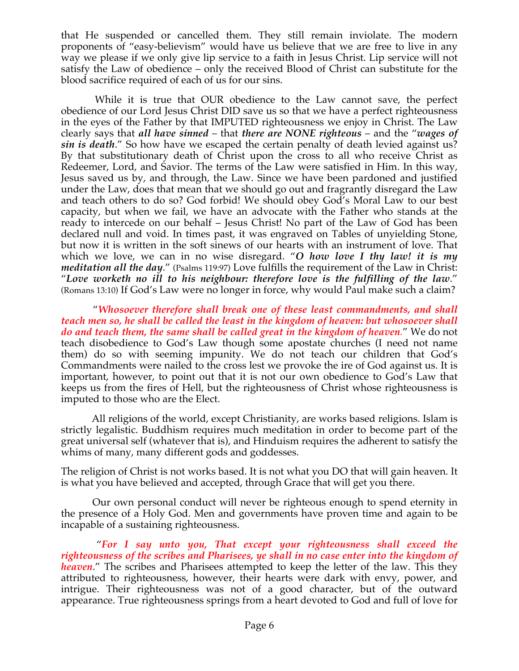that He suspended or cancelled them. They still remain inviolate. The modern proponents of "easy-believism" would have us believe that we are free to live in any way we please if we only give lip service to a faith in Jesus Christ. Lip service will not satisfy the Law of obedience – only the received Blood of Christ can substitute for the blood sacrifice required of each of us for our sins.

 While it is true that OUR obedience to the Law cannot save, the perfect obedience of our Lord Jesus Christ DID save us so that we have a perfect righteousness in the eyes of the Father by that IMPUTED righteousness we enjoy in Christ. The Law clearly says that *all have sinned* – that *there are NONE righteous* – and the "*wages of sin is death*." So how have we escaped the certain penalty of death levied against us? By that substitutionary death of Christ upon the cross to all who receive Christ as Redeemer, Lord, and Savior. The terms of the Law were satisfied in Him. In this way, Jesus saved us by, and through, the Law. Since we have been pardoned and justified under the Law, does that mean that we should go out and fragrantly disregard the Law and teach others to do so? God forbid! We should obey God's Moral Law to our best capacity, but when we fail, we have an advocate with the Father who stands at the ready to intercede on our behalf – Jesus Christ! No part of the Law of God has been declared null and void. In times past, it was engraved on Tables of unyielding Stone, but now it is written in the soft sinews of our hearts with an instrument of love. That which we love, we can in no wise disregard. "*O how love I thy law! it is my meditation all the day*." (Psalms 119:97) Love fulfills the requirement of the Law in Christ: "*Love worketh no ill to his neighbour: therefore love is the fulfilling of the law*." (Romans 13:10) If God's Law were no longer in force, why would Paul make such a claim?

 "*Whosoever therefore shall break one of these least commandments, and shall teach men so, he shall be called the least in the kingdom of heaven: but whosoever shall do and teach them, the same shall be called great in the kingdom of heaven.*" We do not teach disobedience to God's Law though some apostate churches (I need not name them) do so with seeming impunity. We do not teach our children that God's Commandments were nailed to the cross lest we provoke the ire of God against us. It is important, however, to point out that it is not our own obedience to God's Law that keeps us from the fires of Hell, but the righteousness of Christ whose righteousness is imputed to those who are the Elect.

 All religions of the world, except Christianity, are works based religions. Islam is strictly legalistic. Buddhism requires much meditation in order to become part of the great universal self (whatever that is), and Hinduism requires the adherent to satisfy the whims of many, many different gods and goddesses.

The religion of Christ is not works based. It is not what you DO that will gain heaven. It is what you have believed and accepted, through Grace that will get you there.

 Our own personal conduct will never be righteous enough to spend eternity in the presence of a Holy God. Men and governments have proven time and again to be incapable of a sustaining righteousness.

 "*For I say unto you, That except your righteousness shall exceed the righteousness of the scribes and Pharisees, ye shall in no case enter into the kingdom of heaven.*" The scribes and Pharisees attempted to keep the letter of the law. This they attributed to righteousness, however, their hearts were dark with envy, power, and intrigue. Their righteousness was not of a good character, but of the outward appearance. True righteousness springs from a heart devoted to God and full of love for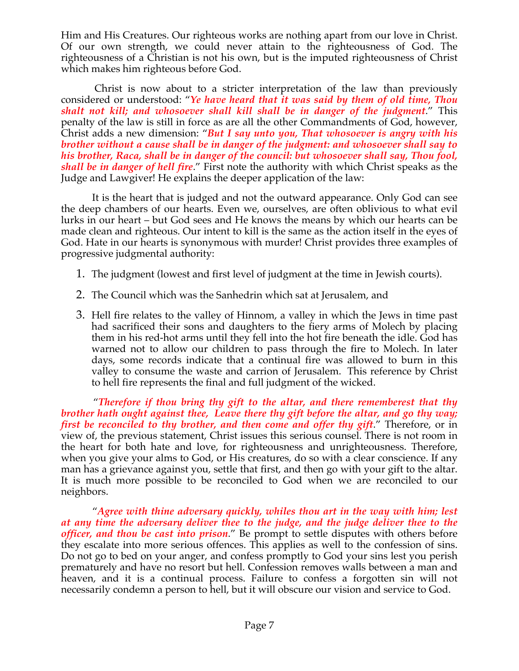Him and His Creatures. Our righteous works are nothing apart from our love in Christ. Of our own strength, we could never attain to the righteousness of God. The righteousness of a Christian is not his own, but is the imputed righteousness of Christ which makes him righteous before God.

 Christ is now about to a stricter interpretation of the law than previously considered or understood: "*Ye have heard that it was said by them of old time, Thou shalt not kill; and whosoever shall kill shall be in danger of the judgment*." This penalty of the law is still in force as are all the other Commandments of God, however, Christ adds a new dimension: "*But I say unto you, That whosoever is angry with his brother without a cause shall be in danger of the judgment: and whosoever shall say to his brother, Raca, shall be in danger of the council: but whosoever shall say, Thou fool, shall be in danger of hell fire*." First note the authority with which Christ speaks as the Judge and Lawgiver! He explains the deeper application of the law:

 It is the heart that is judged and not the outward appearance. Only God can see the deep chambers of our hearts. Even we, ourselves, are often oblivious to what evil lurks in our heart – but God sees and He knows the means by which our hearts can be made clean and righteous. Our intent to kill is the same as the action itself in the eyes of God. Hate in our hearts is synonymous with murder! Christ provides three examples of progressive judgmental authority:

- 1. The judgment (lowest and first level of judgment at the time in Jewish courts).
- 2. The Council which was the Sanhedrin which sat at Jerusalem, and
- 3. Hell fire relates to the valley of Hinnom, a valley in which the Jews in time past had sacrificed their sons and daughters to the fiery arms of Molech by placing them in his red-hot arms until they fell into the hot fire beneath the idle. God has warned not to allow our children to pass through the fire to Molech. In later days, some records indicate that a continual fire was allowed to burn in this valley to consume the waste and carrion of Jerusalem. This reference by Christ to hell fire represents the final and full judgment of the wicked.

 "*Therefore if thou bring thy gift to the altar, and there rememberest that thy brother hath ought against thee, Leave there thy gift before the altar, and go thy way; first be reconciled to thy brother, and then come and offer thy gift.*" Therefore, or in view of, the previous statement, Christ issues this serious counsel. There is not room in the heart for both hate and love, for righteousness and unrighteousness. Therefore, when you give your alms to God, or His creatures, do so with a clear conscience. If any man has a grievance against you, settle that first, and then go with your gift to the altar. It is much more possible to be reconciled to God when we are reconciled to our neighbors.

 "*Agree with thine adversary quickly, whiles thou art in the way with him; lest at any time the adversary deliver thee to the judge, and the judge deliver thee to the officer, and thou be cast into prison*." Be prompt to settle disputes with others before they escalate into more serious offences. This applies as well to the confession of sins. Do not go to bed on your anger, and confess promptly to God your sins lest you perish prematurely and have no resort but hell. Confession removes walls between a man and heaven, and it is a continual process. Failure to confess a forgotten sin will not necessarily condemn a person to hell, but it will obscure our vision and service to God.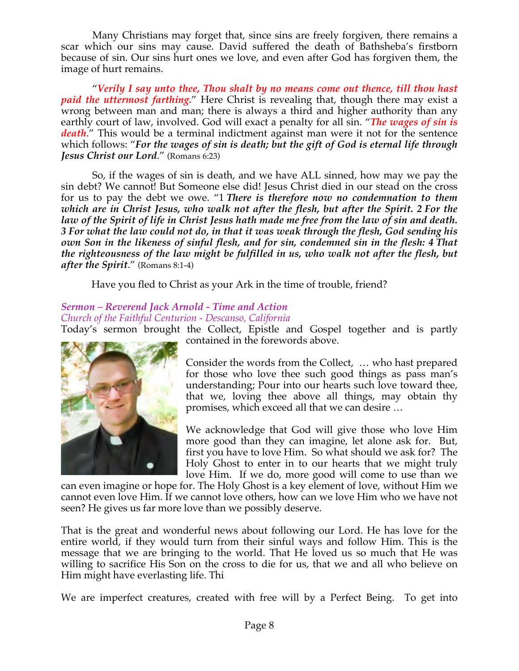Many Christians may forget that, since sins are freely forgiven, there remains a scar which our sins may cause. David suffered the death of Bathsheba's firstborn because of sin. Our sins hurt ones we love, and even after God has forgiven them, the image of hurt remains.

 "*Verily I say unto thee, Thou shalt by no means come out thence, till thou hast paid the uttermost farthing.*" Here Christ is revealing that, though there may exist a wrong between man and man; there is always a third and higher authority than any earthly court of law, involved. God will exact a penalty for all sin. "*The wages of sin is death*." This would be a terminal indictment against man were it not for the sentence which follows: "*For the wages of sin is death; but the gift of God is eternal life through Jesus Christ our Lord*." (Romans 6:23)

 So, if the wages of sin is death, and we have ALL sinned, how may we pay the sin debt? We cannot! But Someone else did! Jesus Christ died in our stead on the cross for us to pay the debt we owe. "1 *There is therefore now no condemnation to them which are in Christ Jesus, who walk not after the flesh, but after the Spirit. 2 For the law of the Spirit of life in Christ Jesus hath made me free from the law of sin and death. 3 For what the law could not do, in that it was weak through the flesh, God sending his own Son in the likeness of sinful flesh, and for sin, condemned sin in the flesh: 4 That the righteousness of the law might be fulfilled in us, who walk not after the flesh, but after the Spirit*." (Romans 8:1-4)

Have you fled to Christ as your Ark in the time of trouble, friend?

# *Sermon – Reverend Jack Arnold - Time and Action*

*Church of the Faithful Centurion - Descanso, California*

Today's sermon brought the Collect, Epistle and Gospel together and is partly contained in the forewords above.



Consider the words from the Collect, … who hast prepared for those who love thee such good things as pass man's understanding; Pour into our hearts such love toward thee, that we, loving thee above all things, may obtain thy promises, which exceed all that we can desire …

We acknowledge that God will give those who love Him more good than they can imagine, let alone ask for. But, first you have to love Him. So what should we ask for? The Holy Ghost to enter in to our hearts that we might truly love Him. If we do, more good will come to use than we

can even imagine or hope for. The Holy Ghost is a key element of love, without Him we cannot even love Him. If we cannot love others, how can we love Him who we have not seen? He gives us far more love than we possibly deserve.

That is the great and wonderful news about following our Lord. He has love for the entire world, if they would turn from their sinful ways and follow Him. This is the message that we are bringing to the world. That He loved us so much that He was willing to sacrifice His Son on the cross to die for us, that we and all who believe on Him might have everlasting life. Thi

We are imperfect creatures, created with free will by a Perfect Being. To get into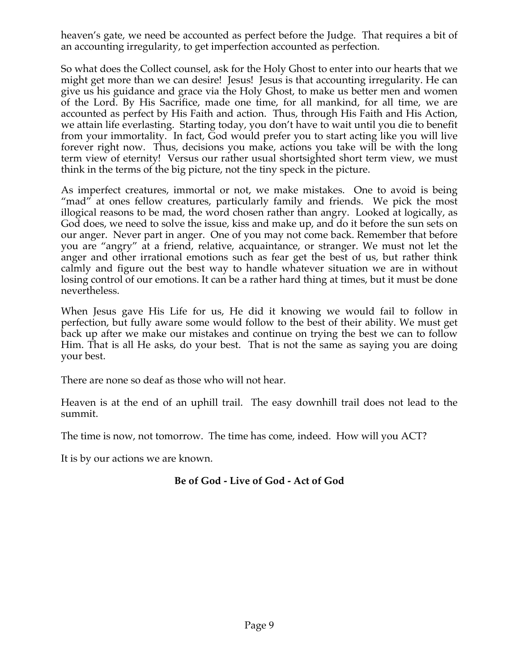heaven's gate, we need be accounted as perfect before the Judge. That requires a bit of an accounting irregularity, to get imperfection accounted as perfection.

So what does the Collect counsel, ask for the Holy Ghost to enter into our hearts that we might get more than we can desire! Jesus! Jesus is that accounting irregularity. He can give us his guidance and grace via the Holy Ghost, to make us better men and women of the Lord. By His Sacrifice, made one time, for all mankind, for all time, we are accounted as perfect by His Faith and action. Thus, through His Faith and His Action, we attain life everlasting. Starting today, you don't have to wait until you die to benefit from your immortality. In fact, God would prefer you to start acting like you will live forever right now. Thus, decisions you make, actions you take will be with the long term view of eternity! Versus our rather usual shortsighted short term view, we must think in the terms of the big picture, not the tiny speck in the picture.

As imperfect creatures, immortal or not, we make mistakes. One to avoid is being "mad" at ones fellow creatures, particularly family and friends. We pick the most illogical reasons to be mad, the word chosen rather than angry. Looked at logically, as God does, we need to solve the issue, kiss and make up, and do it before the sun sets on our anger. Never part in anger. One of you may not come back. Remember that before you are "angry" at a friend, relative, acquaintance, or stranger. We must not let the anger and other irrational emotions such as fear get the best of us, but rather think calmly and figure out the best way to handle whatever situation we are in without losing control of our emotions. It can be a rather hard thing at times, but it must be done nevertheless.

When Jesus gave His Life for us, He did it knowing we would fail to follow in perfection, but fully aware some would follow to the best of their ability. We must get back up after we make our mistakes and continue on trying the best we can to follow Him. That is all He asks, do your best. That is not the same as saying you are doing your best.

There are none so deaf as those who will not hear.

Heaven is at the end of an uphill trail. The easy downhill trail does not lead to the summit.

The time is now, not tomorrow. The time has come, indeed. How will you ACT?

It is by our actions we are known.

# **Be of God - Live of God - Act of God**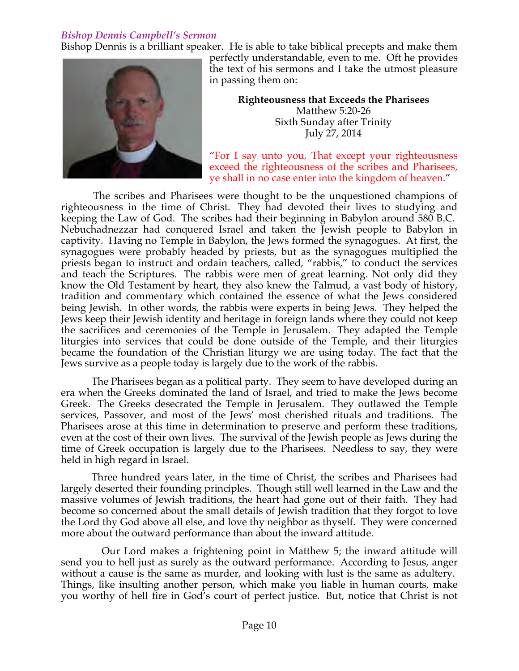# *Bishop Dennis Campbell's Sermon*

Bishop Dennis is a brilliant speaker. He is able to take biblical precepts and make them



perfectly understandable, even to me. Oft he provides the text of his sermons and I take the utmost pleasure in passing them on:

> **Righteousness that Exceeds the Pharisees** Matthew 5:20-26 Sixth Sunday after Trinity July 27, 2014

"For I say unto you, That except your righteousness exceed the righteousness of the scribes and Pharisees, ye shall in no case enter into the kingdom of heaven."

 The scribes and Pharisees were thought to be the unquestioned champions of righteousness in the time of Christ. They had devoted their lives to studying and keeping the Law of God. The scribes had their beginning in Babylon around 580 B.C. Nebuchadnezzar had conquered Israel and taken the Jewish people to Babylon in captivity. Having no Temple in Babylon, the Jews formed the synagogues. At first, the synagogues were probably headed by priests, but as the synagogues multiplied the priests began to instruct and ordain teachers, called, "rabbis," to conduct the services and teach the Scriptures. The rabbis were men of great learning. Not only did they know the Old Testament by heart, they also knew the Talmud, a vast body of history, tradition and commentary which contained the essence of what the Jews considered being Jewish. In other words, the rabbis were experts in being Jews. They helped the Jews keep their Jewish identity and heritage in foreign lands where they could not keep the sacrifices and ceremonies of the Temple in Jerusalem. They adapted the Temple liturgies into services that could be done outside of the Temple, and their liturgies became the foundation of the Christian liturgy we are using today. The fact that the Jews survive as a people today is largely due to the work of the rabbis.

The Pharisees began as a political party. They seem to have developed during an era when the Greeks dominated the land of Israel, and tried to make the Jews become Greek. The Greeks desecrated the Temple in Jerusalem. They outlawed the Temple services, Passover, and most of the Jews' most cherished rituals and traditions. The Pharisees arose at this time in determination to preserve and perform these traditions, even at the cost of their own lives. The survival of the Jewish people as Jews during the time of Greek occupation is largely due to the Pharisees. Needless to say, they were held in high regard in Israel.

Three hundred years later, in the time of Christ, the scribes and Pharisees had largely deserted their founding principles. Though still well learned in the Law and the massive volumes of Jewish traditions, the heart had gone out of their faith. They had become so concerned about the small details of Jewish tradition that they forgot to love the Lord thy God above all else, and love thy neighbor as thyself. They were concerned more about the outward performance than about the inward attitude.

Our Lord makes a frightening point in Matthew 5; the inward attitude will send you to hell just as surely as the outward performance. According to Jesus, anger without a cause is the same as murder, and looking with lust is the same as adultery. Things, like insulting another person, which make you liable in human courts, make you worthy of hell fire in God's court of perfect justice. But, notice that Christ is not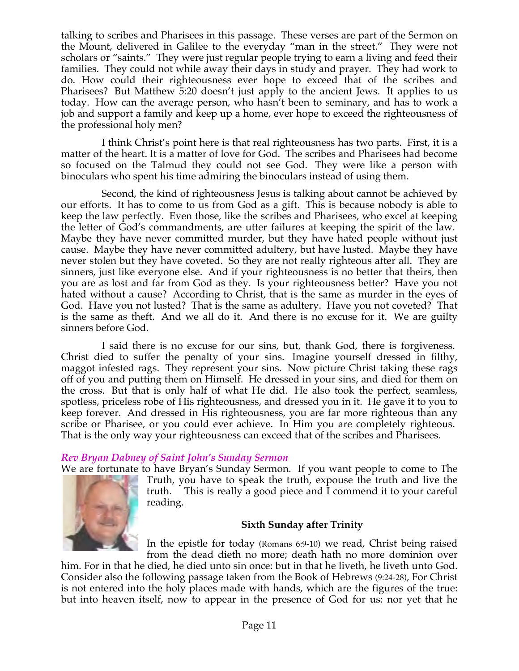talking to scribes and Pharisees in this passage. These verses are part of the Sermon on the Mount, delivered in Galilee to the everyday "man in the street." They were not scholars or "saints." They were just regular people trying to earn a living and feed their families. They could not while away their days in study and prayer. They had work to do. How could their righteousness ever hope to exceed that of the scribes and Pharisees? But Matthew 5:20 doesn't just apply to the ancient Jews. It applies to us today. How can the average person, who hasn't been to seminary, and has to work a job and support a family and keep up a home, ever hope to exceed the righteousness of the professional holy men?

I think Christ's point here is that real righteousness has two parts. First, it is a matter of the heart. It is a matter of love for God. The scribes and Pharisees had become so focused on the Talmud they could not see God. They were like a person with binoculars who spent his time admiring the binoculars instead of using them.

Second, the kind of righteousness Jesus is talking about cannot be achieved by our efforts. It has to come to us from God as a gift. This is because nobody is able to keep the law perfectly. Even those, like the scribes and Pharisees, who excel at keeping the letter of God's commandments, are utter failures at keeping the spirit of the law. Maybe they have never committed murder, but they have hated people without just cause. Maybe they have never committed adultery, but have lusted. Maybe they have never stolen but they have coveted. So they are not really righteous after all. They are sinners, just like everyone else. And if your righteousness is no better that theirs, then you are as lost and far from God as they. Is your righteousness better? Have you not hated without a cause? According to Christ, that is the same as murder in the eyes of God. Have you not lusted? That is the same as adultery. Have you not coveted? That is the same as theft. And we all do it. And there is no excuse for it. We are guilty sinners before God.

I said there is no excuse for our sins, but, thank God, there is forgiveness. Christ died to suffer the penalty of your sins. Imagine yourself dressed in filthy, maggot infested rags. They represent your sins. Now picture Christ taking these rags off of you and putting them on Himself. He dressed in your sins, and died for them on the cross. But that is only half of what He did. He also took the perfect, seamless, spotless, priceless robe of His righteousness, and dressed you in it. He gave it to you to keep forever. And dressed in His righteousness, you are far more righteous than any scribe or Pharisee, or you could ever achieve. In Him you are completely righteous. That is the only way your righteousness can exceed that of the scribes and Pharisees.

# *Rev Bryan Dabney of Saint John's Sunday Sermon*

We are fortunate to have Bryan's Sunday Sermon. If you want people to come to The



Truth, you have to speak the truth, expouse the truth and live the truth. This is really a good piece and I commend it to your careful reading.

#### **Sixth Sunday after Trinity**

In the epistle for today (Romans 6:9-10) we read, Christ being raised from the dead dieth no more; death hath no more dominion over

him. For in that he died, he died unto sin once: but in that he liveth, he liveth unto God. Consider also the following passage taken from the Book of Hebrews (9:24-28), For Christ is not entered into the holy places made with hands, which are the figures of the true: but into heaven itself, now to appear in the presence of God for us: nor yet that he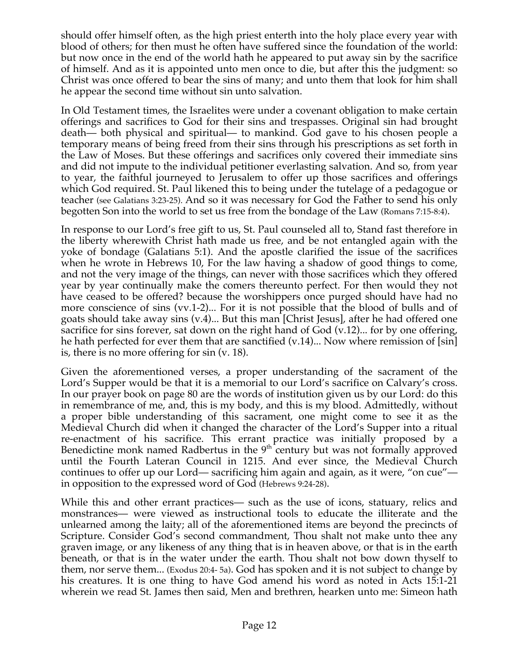should offer himself often, as the high priest enterth into the holy place every year with blood of others; for then must he often have suffered since the foundation of the world: but now once in the end of the world hath he appeared to put away sin by the sacrifice of himself. And as it is appointed unto men once to die, but after this the judgment: so Christ was once offered to bear the sins of many; and unto them that look for him shall he appear the second time without sin unto salvation.

In Old Testament times, the Israelites were under a covenant obligation to make certain offerings and sacrifices to God for their sins and trespasses. Original sin had brought death— both physical and spiritual— to mankind. God gave to his chosen people a temporary means of being freed from their sins through his prescriptions as set forth in the Law of Moses. But these offerings and sacrifices only covered their immediate sins and did not impute to the individual petitioner everlasting salvation. And so, from year to year, the faithful journeyed to Jerusalem to offer up those sacrifices and offerings which God required. St. Paul likened this to being under the tutelage of a pedagogue or teacher (see Galatians 3:23-25). And so it was necessary for God the Father to send his only begotten Son into the world to set us free from the bondage of the Law (Romans 7:15-8:4).

In response to our Lord's free gift to us, St. Paul counseled all to, Stand fast therefore in the liberty wherewith Christ hath made us free, and be not entangled again with the yoke of bondage (Galatians 5:1). And the apostle clarified the issue of the sacrifices when he wrote in Hebrews 10, For the law having a shadow of good things to come, and not the very image of the things, can never with those sacrifices which they offered year by year continually make the comers thereunto perfect. For then would they not have ceased to be offered? because the worshippers once purged should have had no more conscience of sins (vv.1-2)... For it is not possible that the blood of bulls and of goats should take away sins (v.4)... But this man [Christ Jesus], after he had offered one sacrifice for sins forever, sat down on the right hand of God (v.12)... for by one offering, he hath perfected for ever them that are sanctified (v.14)... Now where remission of [sin] is, there is no more offering for sin (v. 18).

Given the aforementioned verses, a proper understanding of the sacrament of the Lord's Supper would be that it is a memorial to our Lord's sacrifice on Calvary's cross. In our prayer book on page 80 are the words of institution given us by our Lord: do this in remembrance of me, and, this is my body, and this is my blood. Admittedly, without a proper bible understanding of this sacrament, one might come to see it as the Medieval Church did when it changed the character of the Lord's Supper into a ritual re-enactment of his sacrifice. This errant practice was initially proposed by a Benedictine monk named Radbertus in the  $9<sup>th</sup>$  century but was not formally approved until the Fourth Lateran Council in 1215. And ever since, the Medieval Church continues to offer up our Lord— sacrificing him again and again, as it were, "on cue" in opposition to the expressed word of God (Hebrews 9:24-28).

While this and other errant practices— such as the use of icons, statuary, relics and monstrances— were viewed as instructional tools to educate the illiterate and the unlearned among the laity; all of the aforementioned items are beyond the precincts of Scripture. Consider God's second commandment, Thou shalt not make unto thee any graven image, or any likeness of any thing that is in heaven above, or that is in the earth beneath, or that is in the water under the earth. Thou shalt not bow down thyself to them, nor serve them... (Exodus 20:4- 5a). God has spoken and it is not subject to change by his creatures. It is one thing to have God amend his word as noted in Acts 15:1-21 wherein we read St. James then said, Men and brethren, hearken unto me: Simeon hath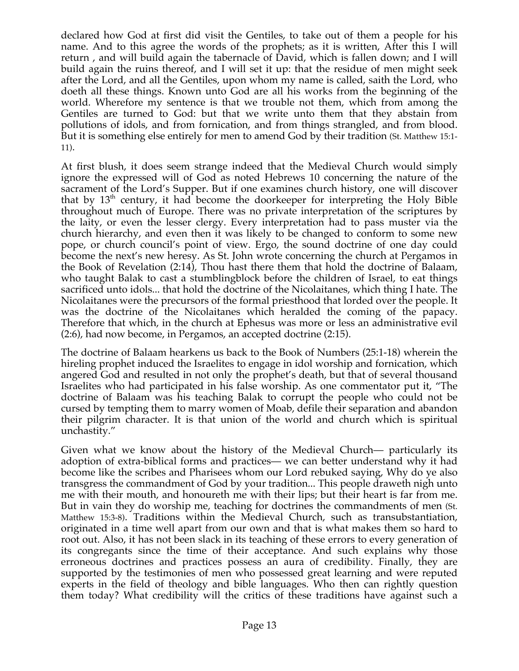declared how God at first did visit the Gentiles, to take out of them a people for his name. And to this agree the words of the prophets; as it is written, After this I will return , and will build again the tabernacle of David, which is fallen down; and I will build again the ruins thereof, and I will set it up: that the residue of men might seek after the Lord, and all the Gentiles, upon whom my name is called, saith the Lord, who doeth all these things. Known unto God are all his works from the beginning of the world. Wherefore my sentence is that we trouble not them, which from among the Gentiles are turned to God: but that we write unto them that they abstain from pollutions of idols, and from fornication, and from things strangled, and from blood. But it is something else entirely for men to amend God by their tradition (St. Matthew 15:1- 11).

At first blush, it does seem strange indeed that the Medieval Church would simply ignore the expressed will of God as noted Hebrews 10 concerning the nature of the sacrament of the Lord's Supper. But if one examines church history, one will discover that by  $13<sup>th</sup>$  century, it had become the doorkeeper for interpreting the Holy Bible throughout much of Europe. There was no private interpretation of the scriptures by the laity, or even the lesser clergy. Every interpretation had to pass muster via the church hierarchy, and even then it was likely to be changed to conform to some new pope, or church council's point of view. Ergo, the sound doctrine of one day could become the next's new heresy. As St. John wrote concerning the church at Pergamos in the Book of Revelation (2:14), Thou hast there them that hold the doctrine of Balaam, who taught Balak to cast a stumblingblock before the children of Israel, to eat things sacrificed unto idols... that hold the doctrine of the Nicolaitanes, which thing I hate. The Nicolaitanes were the precursors of the formal priesthood that lorded over the people. It was the doctrine of the Nicolaitanes which heralded the coming of the papacy. Therefore that which, in the church at Ephesus was more or less an administrative evil (2:6), had now become, in Pergamos, an accepted doctrine (2:15).

The doctrine of Balaam hearkens us back to the Book of Numbers (25:1-18) wherein the hireling prophet induced the Israelites to engage in idol worship and fornication, which angered God and resulted in not only the prophet's death, but that of several thousand Israelites who had participated in his false worship. As one commentator put it, "The doctrine of Balaam was his teaching Balak to corrupt the people who could not be cursed by tempting them to marry women of Moab, defile their separation and abandon their pilgrim character. It is that union of the world and church which is spiritual unchastity."

Given what we know about the history of the Medieval Church— particularly its adoption of extra-biblical forms and practices— we can better understand why it had become like the scribes and Pharisees whom our Lord rebuked saying, Why do ye also transgress the commandment of God by your tradition... This people draweth nigh unto me with their mouth, and honoureth me with their lips; but their heart is far from me. But in vain they do worship me, teaching for doctrines the commandments of men (St. Matthew 15:3-8). Traditions within the Medieval Church, such as transubstantiation, originated in a time well apart from our own and that is what makes them so hard to root out. Also, it has not been slack in its teaching of these errors to every generation of its congregants since the time of their acceptance. And such explains why those erroneous doctrines and practices possess an aura of credibility. Finally, they are supported by the testimonies of men who possessed great learning and were reputed experts in the field of theology and bible languages. Who then can rightly question them today? What credibility will the critics of these traditions have against such a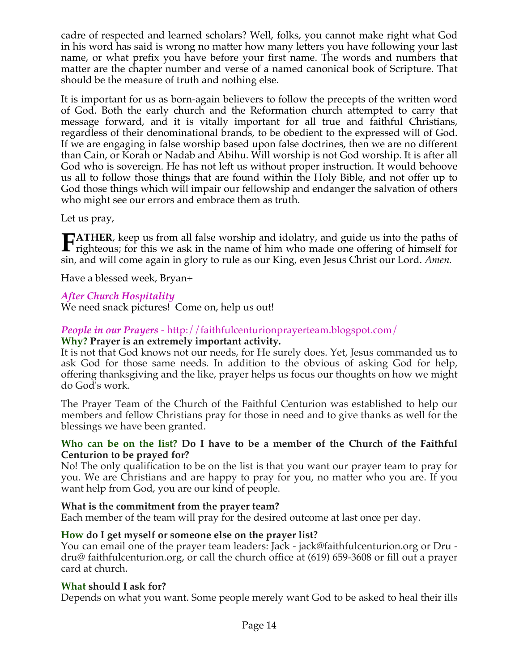cadre of respected and learned scholars? Well, folks, you cannot make right what God in his word has said is wrong no matter how many letters you have following your last name, or what prefix you have before your first name. The words and numbers that matter are the chapter number and verse of a named canonical book of Scripture. That should be the measure of truth and nothing else.

It is important for us as born-again believers to follow the precepts of the written word of God. Both the early church and the Reformation church attempted to carry that message forward, and it is vitally important for all true and faithful Christians, regardless of their denominational brands, to be obedient to the expressed will of God. If we are engaging in false worship based upon false doctrines, then we are no different than Cain, or Korah or Nadab and Abihu. Will worship is not God worship. It is after all God who is sovereign. He has not left us without proper instruction. It would behoove us all to follow those things that are found within the Holy Bible, and not offer up to God those things which will impair our fellowship and endanger the salvation of others who might see our errors and embrace them as truth.

Let us pray,

**ATHER**, keep us from all false worship and idolatry, and guide us into the paths of **FATHER**, keep us from all false worship and idolatry, and guide us into the paths of righteous; for this we ask in the name of him who made one offering of himself for sin, and will come again in glory to rule as our King, even Jesus Christ our Lord. *Amen.*

Have a blessed week, Bryan+

## *After Church Hospitality*

We need snack pictures! Come on, help us out!

#### *People in our Prayers* - http://faithfulcenturionprayerteam.blogspot.com/ **Why? Prayer is an extremely important activity.**

It is not that God knows not our needs, for He surely does. Yet, Jesus commanded us to ask God for those same needs. In addition to the obvious of asking God for help, offering thanksgiving and the like, prayer helps us focus our thoughts on how we might do God's work.

The Prayer Team of the Church of the Faithful Centurion was established to help our members and fellow Christians pray for those in need and to give thanks as well for the blessings we have been granted.

## **Who can be on the list? Do I have to be a member of the Church of the Faithful Centurion to be prayed for?**

No! The only qualification to be on the list is that you want our prayer team to pray for you. We are Christians and are happy to pray for you, no matter who you are. If you want help from God, you are our kind of people.

# **What is the commitment from the prayer team?**

Each member of the team will pray for the desired outcome at last once per day.

# **How do I get myself or someone else on the prayer list?**

You can email one of the prayer team leaders: Jack - jack@faithfulcenturion.org or Dru dru@ faithfulcenturion.org, or call the church office at (619) 659-3608 or fill out a prayer card at church.

# **What should I ask for?**

Depends on what you want. Some people merely want God to be asked to heal their ills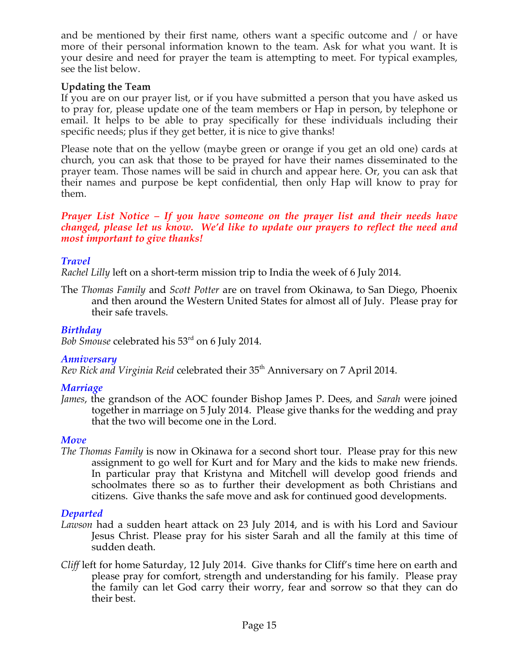and be mentioned by their first name, others want a specific outcome and / or have more of their personal information known to the team. Ask for what you want. It is your desire and need for prayer the team is attempting to meet. For typical examples, see the list below.

## **Updating the Team**

If you are on our prayer list, or if you have submitted a person that you have asked us to pray for, please update one of the team members or Hap in person, by telephone or email. It helps to be able to pray specifically for these individuals including their specific needs; plus if they get better, it is nice to give thanks!

Please note that on the yellow (maybe green or orange if you get an old one) cards at church, you can ask that those to be prayed for have their names disseminated to the prayer team. Those names will be said in church and appear here. Or, you can ask that their names and purpose be kept confidential, then only Hap will know to pray for them.

#### *Prayer List Notice – If you have someone on the prayer list and their needs have changed, please let us know. We'd like to update our prayers to reflect the need and most important to give thanks!*

# *Travel*

*Rachel Lilly* left on a short-term mission trip to India the week of 6 July 2014.

The *Thomas Family* and *Scott Potter* are on travel from Okinawa, to San Diego, Phoenix and then around the Western United States for almost all of July. Please pray for their safe travels.

## *Birthday*

*Bob Smouse* celebrated his 53rd on 6 July 2014.

# *Anniversary*

*Rev Rick and Virginia Reid* celebrated their 35<sup>th</sup> Anniversary on 7 April 2014.

# *Marriage*

*James*, the grandson of the AOC founder Bishop James P. Dees, and *Sarah* were joined together in marriage on 5 July 2014. Please give thanks for the wedding and pray that the two will become one in the Lord.

# *Move*

*The Thomas Family* is now in Okinawa for a second short tour. Please pray for this new assignment to go well for Kurt and for Mary and the kids to make new friends. In particular pray that Kristyna and Mitchell will develop good friends and schoolmates there so as to further their development as both Christians and citizens. Give thanks the safe move and ask for continued good developments.

# *Departed*

- *Lawson* had a sudden heart attack on 23 July 2014, and is with his Lord and Saviour Jesus Christ. Please pray for his sister Sarah and all the family at this time of sudden death.
- *Cliff* left for home Saturday, 12 July 2014. Give thanks for Cliff's time here on earth and please pray for comfort, strength and understanding for his family. Please pray the family can let God carry their worry, fear and sorrow so that they can do their best.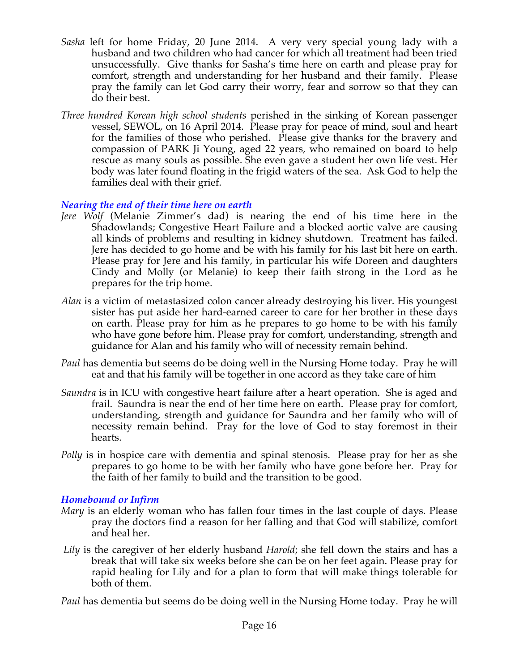- *Sasha* left for home Friday, 20 June 2014. A very very special young lady with a husband and two children who had cancer for which all treatment had been tried unsuccessfully. Give thanks for Sasha's time here on earth and please pray for comfort, strength and understanding for her husband and their family. Please pray the family can let God carry their worry, fear and sorrow so that they can do their best.
- *Three hundred Korean high school students* perished in the sinking of Korean passenger vessel, SEWOL, on 16 April 2014. Please pray for peace of mind, soul and heart for the families of those who perished. Please give thanks for the bravery and compassion of PARK Ji Young, aged 22 years, who remained on board to help rescue as many souls as possible. She even gave a student her own life vest. Her body was later found floating in the frigid waters of the sea. Ask God to help the families deal with their grief.

## *Nearing the end of their time here on earth*

- *Jere Wolf* (Melanie Zimmer's dad) is nearing the end of his time here in the Shadowlands; Congestive Heart Failure and a blocked aortic valve are causing all kinds of problems and resulting in kidney shutdown. Treatment has failed. Jere has decided to go home and be with his family for his last bit here on earth. Please pray for Jere and his family, in particular his wife Doreen and daughters Cindy and Molly (or Melanie) to keep their faith strong in the Lord as he prepares for the trip home.
- *Alan* is a victim of metastasized colon cancer already destroying his liver. His youngest sister has put aside her hard-earned career to care for her brother in these days on earth. Please pray for him as he prepares to go home to be with his family who have gone before him. Please pray for comfort, understanding, strength and guidance for Alan and his family who will of necessity remain behind.
- *Paul* has dementia but seems do be doing well in the Nursing Home today. Pray he will eat and that his family will be together in one accord as they take care of him
- *Saundra* is in ICU with congestive heart failure after a heart operation. She is aged and frail. Saundra is near the end of her time here on earth. Please pray for comfort, understanding, strength and guidance for Saundra and her family who will of necessity remain behind. Pray for the love of God to stay foremost in their hearts.
- *Polly* is in hospice care with dementia and spinal stenosis. Please pray for her as she prepares to go home to be with her family who have gone before her. Pray for the faith of her family to build and the transition to be good.

#### *Homebound or Infirm*

- *Mary* is an elderly woman who has fallen four times in the last couple of days. Please pray the doctors find a reason for her falling and that God will stabilize, comfort and heal her.
- *Lily* is the caregiver of her elderly husband *Harold*; she fell down the stairs and has a break that will take six weeks before she can be on her feet again. Please pray for rapid healing for Lily and for a plan to form that will make things tolerable for both of them.

*Paul* has dementia but seems do be doing well in the Nursing Home today. Pray he will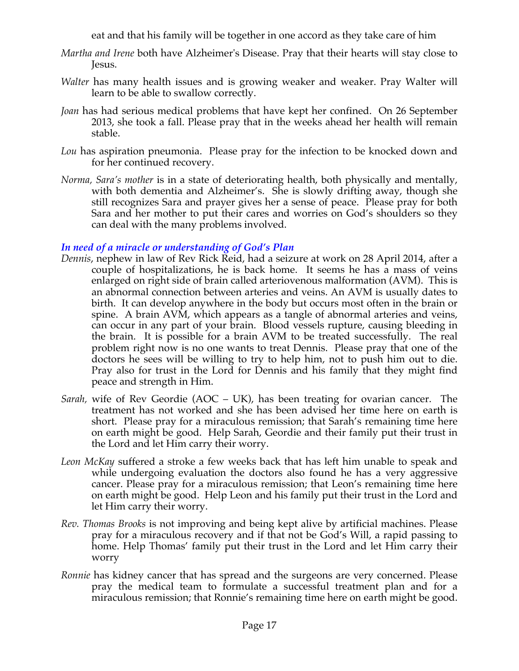eat and that his family will be together in one accord as they take care of him

- *Martha and Irene* both have Alzheimer's Disease. Pray that their hearts will stay close to Jesus.
- *Walter* has many health issues and is growing weaker and weaker. Pray Walter will learn to be able to swallow correctly.
- *Joan* has had serious medical problems that have kept her confined. On 26 September 2013, she took a fall. Please pray that in the weeks ahead her health will remain stable.
- *Lou* has aspiration pneumonia. Please pray for the infection to be knocked down and for her continued recovery.
- *Norma, Sara's mother* is in a state of deteriorating health, both physically and mentally, with both dementia and Alzheimer's. She is slowly drifting away, though she still recognizes Sara and prayer gives her a sense of peace. Please pray for both Sara and her mother to put their cares and worries on God's shoulders so they can deal with the many problems involved.

## *In need of a miracle or understanding of God's Plan*

- *Dennis*, nephew in law of Rev Rick Reid, had a seizure at work on 28 April 2014, after a couple of hospitalizations, he is back home. It seems he has a mass of veins enlarged on right side of brain called arteriovenous malformation (AVM). This is an abnormal connection between arteries and veins. An AVM is usually dates to birth. It can develop anywhere in the body but occurs most often in the brain or spine. A brain AVM, which appears as a tangle of abnormal arteries and veins, can occur in any part of your brain. Blood vessels rupture, causing bleeding in the brain. It is possible for a brain AVM to be treated successfully. The real problem right now is no one wants to treat Dennis. Please pray that one of the doctors he sees will be willing to try to help him, not to push him out to die. Pray also for trust in the Lord for Dennis and his family that they might find peace and strength in Him.
- *Sarah,* wife of Rev Geordie (AOC UK), has been treating for ovarian cancer. The treatment has not worked and she has been advised her time here on earth is short. Please pray for a miraculous remission; that Sarah's remaining time here on earth might be good. Help Sarah, Geordie and their family put their trust in the Lord and let Him carry their worry.
- *Leon McKay* suffered a stroke a few weeks back that has left him unable to speak and while undergoing evaluation the doctors also found he has a very aggressive cancer. Please pray for a miraculous remission; that Leon's remaining time here on earth might be good. Help Leon and his family put their trust in the Lord and let Him carry their worry.
- *Rev. Thomas Brooks* is not improving and being kept alive by artificial machines. Please pray for a miraculous recovery and if that not be God's Will, a rapid passing to home. Help Thomas' family put their trust in the Lord and let Him carry their worry
- *Ronnie* has kidney cancer that has spread and the surgeons are very concerned. Please pray the medical team to formulate a successful treatment plan and for a miraculous remission; that Ronnie's remaining time here on earth might be good.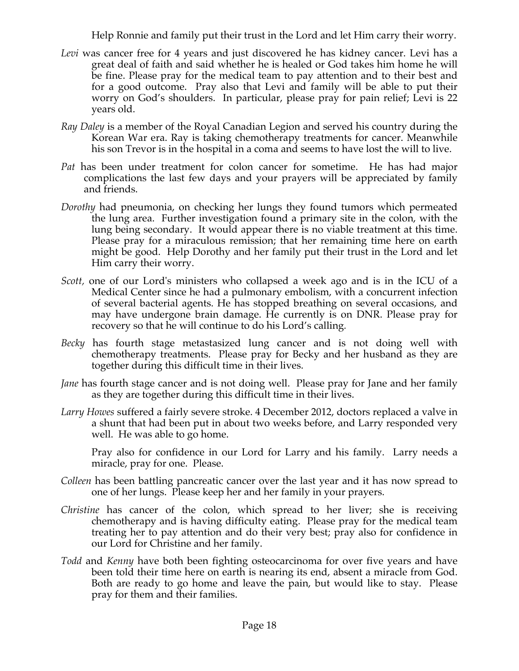Help Ronnie and family put their trust in the Lord and let Him carry their worry.

- *Levi* was cancer free for 4 years and just discovered he has kidney cancer. Levi has a great deal of faith and said whether he is healed or God takes him home he will be fine. Please pray for the medical team to pay attention and to their best and for a good outcome. Pray also that Levi and family will be able to put their worry on God's shoulders. In particular, please pray for pain relief; Levi is 22 years old.
- *Ray Daley* is a member of the Royal Canadian Legion and served his country during the Korean War era. Ray is taking chemotherapy treatments for cancer. Meanwhile his son Trevor is in the hospital in a coma and seems to have lost the will to live.
- *Pat* has been under treatment for colon cancer for sometime. He has had major complications the last few days and your prayers will be appreciated by family and friends.
- *Dorothy* had pneumonia, on checking her lungs they found tumors which permeated the lung area. Further investigation found a primary site in the colon, with the lung being secondary. It would appear there is no viable treatment at this time. Please pray for a miraculous remission; that her remaining time here on earth might be good. Help Dorothy and her family put their trust in the Lord and let Him carry their worry.
- *Scott,* one of our Lord's ministers who collapsed a week ago and is in the ICU of a Medical Center since he had a pulmonary embolism, with a concurrent infection of several bacterial agents. He has stopped breathing on several occasions, and may have undergone brain damage. He currently is on DNR. Please pray for recovery so that he will continue to do his Lord's calling*.*
- *Becky* has fourth stage metastasized lung cancer and is not doing well with chemotherapy treatments. Please pray for Becky and her husband as they are together during this difficult time in their lives.
- *Jane* has fourth stage cancer and is not doing well. Please pray for Jane and her family as they are together during this difficult time in their lives.
- *Larry Howes* suffered a fairly severe stroke. 4 December 2012, doctors replaced a valve in a shunt that had been put in about two weeks before, and Larry responded very well. He was able to go home.

Pray also for confidence in our Lord for Larry and his family. Larry needs a miracle, pray for one. Please.

- *Colleen* has been battling pancreatic cancer over the last year and it has now spread to one of her lungs. Please keep her and her family in your prayers.
- *Christine* has cancer of the colon, which spread to her liver; she is receiving chemotherapy and is having difficulty eating. Please pray for the medical team treating her to pay attention and do their very best; pray also for confidence in our Lord for Christine and her family.
- *Todd* and *Kenny* have both been fighting osteocarcinoma for over five years and have been told their time here on earth is nearing its end, absent a miracle from God. Both are ready to go home and leave the pain, but would like to stay. Please pray for them and their families.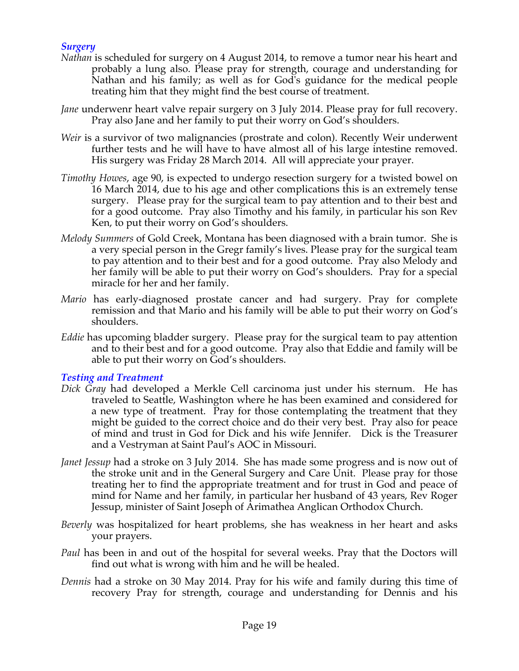# *Surgery*

- *Nathan* is scheduled for surgery on 4 August 2014, to remove a tumor near his heart and probably a lung also. Please pray for strength, courage and understanding for Nathan and his family; as well as for God's guidance for the medical people treating him that they might find the best course of treatment.
- *Jane* underwenr heart valve repair surgery on 3 July 2014. Please pray for full recovery. Pray also Jane and her family to put their worry on God's shoulders.
- *Weir* is a survivor of two malignancies (prostrate and colon). Recently Weir underwent further tests and he will have to have almost all of his large intestine removed. His surgery was Friday 28 March 2014. All will appreciate your prayer.
- *Timothy Howes*, age 90, is expected to undergo resection surgery for a twisted bowel on 16 March 2014, due to his age and other complications this is an extremely tense surgery. Please pray for the surgical team to pay attention and to their best and for a good outcome. Pray also Timothy and his family, in particular his son Rev Ken, to put their worry on God's shoulders.
- *Melody Summers* of Gold Creek, Montana has been diagnosed with a brain tumor. She is a very special person in the Gregr family's lives. Please pray for the surgical team to pay attention and to their best and for a good outcome. Pray also Melody and her family will be able to put their worry on God's shoulders. Pray for a special miracle for her and her family.
- *Mario* has early-diagnosed prostate cancer and had surgery. Pray for complete remission and that Mario and his family will be able to put their worry on God's shoulders.
- *Eddie* has upcoming bladder surgery. Please pray for the surgical team to pay attention and to their best and for a good outcome. Pray also that Eddie and family will be able to put their worry on God's shoulders.

#### *Testing and Treatment*

- *Dick Gray* had developed a Merkle Cell carcinoma just under his sternum. He has traveled to Seattle, Washington where he has been examined and considered for a new type of treatment. Pray for those contemplating the treatment that they might be guided to the correct choice and do their very best. Pray also for peace of mind and trust in God for Dick and his wife Jennifer. Dick is the Treasurer and a Vestryman at Saint Paul's AOC in Missouri.
- *Janet Jessup* had a stroke on 3 July 2014. She has made some progress and is now out of the stroke unit and in the General Surgery and Care Unit. Please pray for those treating her to find the appropriate treatment and for trust in God and peace of mind for Name and her family, in particular her husband of 43 years, Rev Roger Jessup, minister of Saint Joseph of Arimathea Anglican Orthodox Church.
- *Beverly* was hospitalized for heart problems, she has weakness in her heart and asks your prayers.
- *Paul* has been in and out of the hospital for several weeks. Pray that the Doctors will find out what is wrong with him and he will be healed.
- *Dennis* had a stroke on 30 May 2014. Pray for his wife and family during this time of recovery Pray for strength, courage and understanding for Dennis and his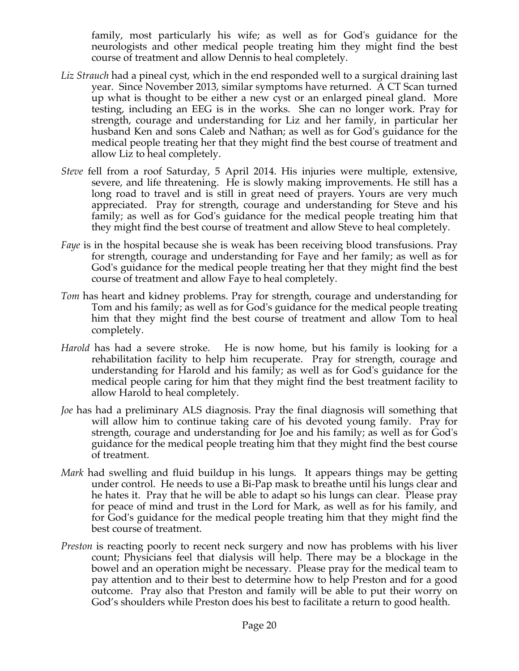family, most particularly his wife; as well as for God's guidance for the neurologists and other medical people treating him they might find the best course of treatment and allow Dennis to heal completely.

- *Liz Strauch* had a pineal cyst, which in the end responded well to a surgical draining last year. Since November 2013, similar symptoms have returned. A CT Scan turned up what is thought to be either a new cyst or an enlarged pineal gland. More testing, including an EEG is in the works. She can no longer work. Pray for strength, courage and understanding for Liz and her family, in particular her husband Ken and sons Caleb and Nathan; as well as for God's guidance for the medical people treating her that they might find the best course of treatment and allow Liz to heal completely.
- *Steve* fell from a roof Saturday, 5 April 2014. His injuries were multiple, extensive, severe, and life threatening. He is slowly making improvements. He still has a long road to travel and is still in great need of prayers. Yours are very much appreciated. Pray for strength, courage and understanding for Steve and his family; as well as for God's guidance for the medical people treating him that they might find the best course of treatment and allow Steve to heal completely.
- *Faye* is in the hospital because she is weak has been receiving blood transfusions. Pray for strength, courage and understanding for Faye and her family; as well as for God's guidance for the medical people treating her that they might find the best course of treatment and allow Faye to heal completely.
- *Tom* has heart and kidney problems. Pray for strength, courage and understanding for Tom and his family; as well as for God's guidance for the medical people treating him that they might find the best course of treatment and allow Tom to heal completely.
- *Harold* has had a severe stroke. He is now home, but his family is looking for a rehabilitation facility to help him recuperate. Pray for strength, courage and understanding for Harold and his family; as well as for God's guidance for the medical people caring for him that they might find the best treatment facility to allow Harold to heal completely.
- *Joe* has had a preliminary ALS diagnosis. Pray the final diagnosis will something that will allow him to continue taking care of his devoted young family. Pray for strength, courage and understanding for Joe and his family; as well as for God's guidance for the medical people treating him that they might find the best course of treatment.
- *Mark* had swelling and fluid buildup in his lungs. It appears things may be getting under control. He needs to use a Bi-Pap mask to breathe until his lungs clear and he hates it. Pray that he will be able to adapt so his lungs can clear. Please pray for peace of mind and trust in the Lord for Mark, as well as for his family, and for God's guidance for the medical people treating him that they might find the best course of treatment.
- *Preston* is reacting poorly to recent neck surgery and now has problems with his liver count; Physicians feel that dialysis will help. There may be a blockage in the bowel and an operation might be necessary. Please pray for the medical team to pay attention and to their best to determine how to help Preston and for a good outcome. Pray also that Preston and family will be able to put their worry on God's shoulders while Preston does his best to facilitate a return to good health.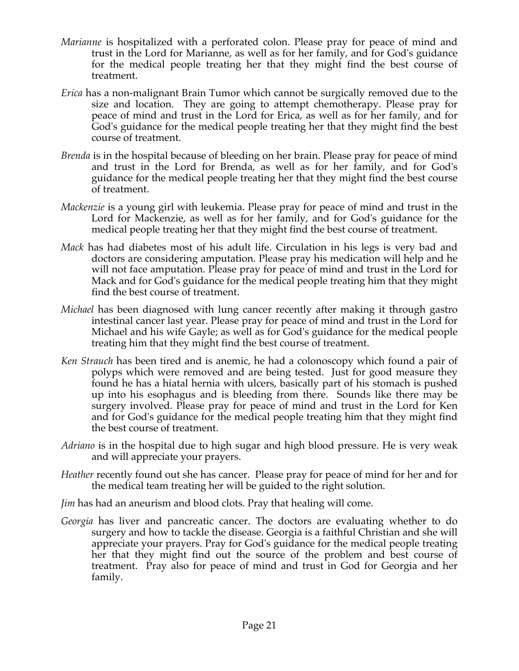- *Marianne* is hospitalized with a perforated colon. Please pray for peace of mind and trust in the Lord for Marianne, as well as for her family, and for God's guidance for the medical people treating her that they might find the best course of treatment.
- *Erica* has a non-malignant Brain Tumor which cannot be surgically removed due to the size and location. They are going to attempt chemotherapy. Please pray for peace of mind and trust in the Lord for Erica, as well as for her family, and for God's guidance for the medical people treating her that they might find the best course of treatment.
- *Brenda* is in the hospital because of bleeding on her brain. Please pray for peace of mind and trust in the Lord for Brenda, as well as for her family, and for God's guidance for the medical people treating her that they might find the best course of treatment.
- *Mackenzie* is a young girl with leukemia. Please pray for peace of mind and trust in the Lord for Mackenzie, as well as for her family, and for God's guidance for the medical people treating her that they might find the best course of treatment.
- *Mack* has had diabetes most of his adult life. Circulation in his legs is very bad and doctors are considering amputation. Please pray his medication will help and he will not face amputation. Please pray for peace of mind and trust in the Lord for Mack and for God's guidance for the medical people treating him that they might find the best course of treatment.
- *Michael* has been diagnosed with lung cancer recently after making it through gastro intestinal cancer last year. Please pray for peace of mind and trust in the Lord for Michael and his wife Gayle; as well as for God's guidance for the medical people treating him that they might find the best course of treatment.
- *Ken Strauch* has been tired and is anemic, he had a colonoscopy which found a pair of polyps which were removed and are being tested. Just for good measure they found he has a hiatal hernia with ulcers, basically part of his stomach is pushed up into his esophagus and is bleeding from there. Sounds like there may be surgery involved. Please pray for peace of mind and trust in the Lord for Ken and for God's guidance for the medical people treating him that they might find the best course of treatment.
- *Adriano* is in the hospital due to high sugar and high blood pressure. He is very weak and will appreciate your prayers.
- *Heather* recently found out she has cancer. Please pray for peace of mind for her and for the medical team treating her will be guided to the right solution.
- *Jim* has had an aneurism and blood clots. Pray that healing will come.
- *Georgia* has liver and pancreatic cancer. The doctors are evaluating whether to do surgery and how to tackle the disease. Georgia is a faithful Christian and she will appreciate your prayers. Pray for God's guidance for the medical people treating her that they might find out the source of the problem and best course of treatment. Pray also for peace of mind and trust in God for Georgia and her family.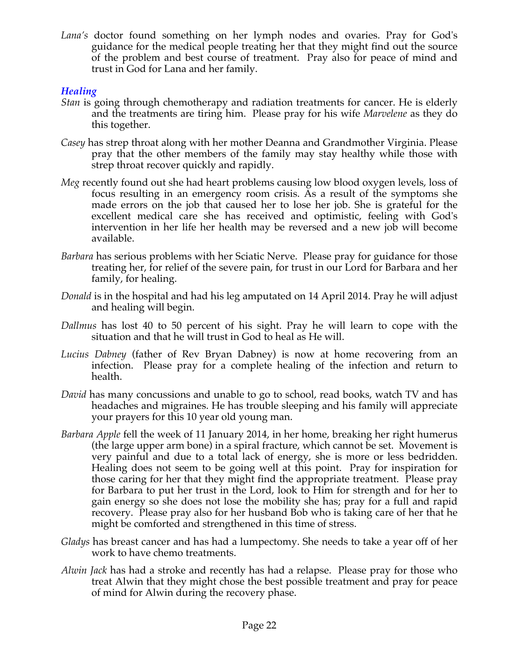*Lana's* doctor found something on her lymph nodes and ovaries. Pray for God's guidance for the medical people treating her that they might find out the source of the problem and best course of treatment. Pray also for peace of mind and trust in God for Lana and her family.

# *Healing*

- *Stan* is going through chemotherapy and radiation treatments for cancer. He is elderly and the treatments are tiring him. Please pray for his wife *Marvelene* as they do this together.
- *Casey* has strep throat along with her mother Deanna and Grandmother Virginia. Please pray that the other members of the family may stay healthy while those with strep throat recover quickly and rapidly.
- *Meg* recently found out she had heart problems causing low blood oxygen levels, loss of focus resulting in an emergency room crisis. As a result of the symptoms she made errors on the job that caused her to lose her job. She is grateful for the excellent medical care she has received and optimistic, feeling with God's intervention in her life her health may be reversed and a new job will become available.
- *Barbara* has serious problems with her Sciatic Nerve. Please pray for guidance for those treating her, for relief of the severe pain, for trust in our Lord for Barbara and her family, for healing.
- *Donald* is in the hospital and had his leg amputated on 14 April 2014. Pray he will adjust and healing will begin.
- *Dallmus* has lost 40 to 50 percent of his sight. Pray he will learn to cope with the situation and that he will trust in God to heal as He will.
- *Lucius Dabney* (father of Rev Bryan Dabney) is now at home recovering from an infection. Please pray for a complete healing of the infection and return to health.
- *David* has many concussions and unable to go to school, read books, watch TV and has headaches and migraines. He has trouble sleeping and his family will appreciate your prayers for this 10 year old young man.
- *Barbara Apple* fell the week of 11 January 2014, in her home, breaking her right humerus (the large upper arm bone) in a spiral fracture, which cannot be set. Movement is very painful and due to a total lack of energy, she is more or less bedridden. Healing does not seem to be going well at this point. Pray for inspiration for those caring for her that they might find the appropriate treatment. Please pray for Barbara to put her trust in the Lord, look to Him for strength and for her to gain energy so she does not lose the mobility she has; pray for a full and rapid recovery. Please pray also for her husband Bob who is taking care of her that he might be comforted and strengthened in this time of stress.
- *Gladys* has breast cancer and has had a lumpectomy. She needs to take a year off of her work to have chemo treatments.
- *Alwin Jack* has had a stroke and recently has had a relapse. Please pray for those who treat Alwin that they might chose the best possible treatment and pray for peace of mind for Alwin during the recovery phase.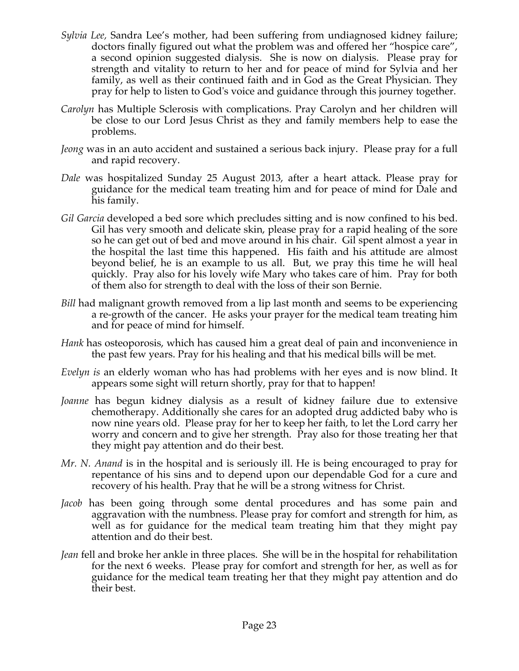- *Sylvia Lee,* Sandra Lee's mother, had been suffering from undiagnosed kidney failure; doctors finally figured out what the problem was and offered her "hospice care", a second opinion suggested dialysis. She is now on dialysis. Please pray for strength and vitality to return to her and for peace of mind for Sylvia and her family, as well as their continued faith and in God as the Great Physician. They pray for help to listen to God's voice and guidance through this journey together.
- *Carolyn* has Multiple Sclerosis with complications. Pray Carolyn and her children will be close to our Lord Jesus Christ as they and family members help to ease the problems.
- *Jeong* was in an auto accident and sustained a serious back injury. Please pray for a full and rapid recovery.
- *Dale* was hospitalized Sunday 25 August 2013, after a heart attack. Please pray for guidance for the medical team treating him and for peace of mind for Dale and his family.
- *Gil Garcia* developed a bed sore which precludes sitting and is now confined to his bed. Gil has very smooth and delicate skin, please pray for a rapid healing of the sore so he can get out of bed and move around in his chair. Gil spent almost a year in the hospital the last time this happened. His faith and his attitude are almost beyond belief, he is an example to us all. But, we pray this time he will heal quickly. Pray also for his lovely wife Mary who takes care of him. Pray for both of them also for strength to deal with the loss of their son Bernie.
- *Bill* had malignant growth removed from a lip last month and seems to be experiencing a re-growth of the cancer. He asks your prayer for the medical team treating him and for peace of mind for himself.
- *Hank* has osteoporosis, which has caused him a great deal of pain and inconvenience in the past few years. Pray for his healing and that his medical bills will be met.
- *Evelyn is* an elderly woman who has had problems with her eyes and is now blind. It appears some sight will return shortly, pray for that to happen!
- *Joanne* has begun kidney dialysis as a result of kidney failure due to extensive chemotherapy. Additionally she cares for an adopted drug addicted baby who is now nine years old. Please pray for her to keep her faith, to let the Lord carry her worry and concern and to give her strength. Pray also for those treating her that they might pay attention and do their best.
- *Mr. N. Anand* is in the hospital and is seriously ill. He is being encouraged to pray for repentance of his sins and to depend upon our dependable God for a cure and recovery of his health. Pray that he will be a strong witness for Christ.
- *Jacob* has been going through some dental procedures and has some pain and aggravation with the numbness. Please pray for comfort and strength for him, as well as for guidance for the medical team treating him that they might pay attention and do their best.
- *Jean* fell and broke her ankle in three places. She will be in the hospital for rehabilitation for the next 6 weeks. Please pray for comfort and strength for her, as well as for guidance for the medical team treating her that they might pay attention and do their best.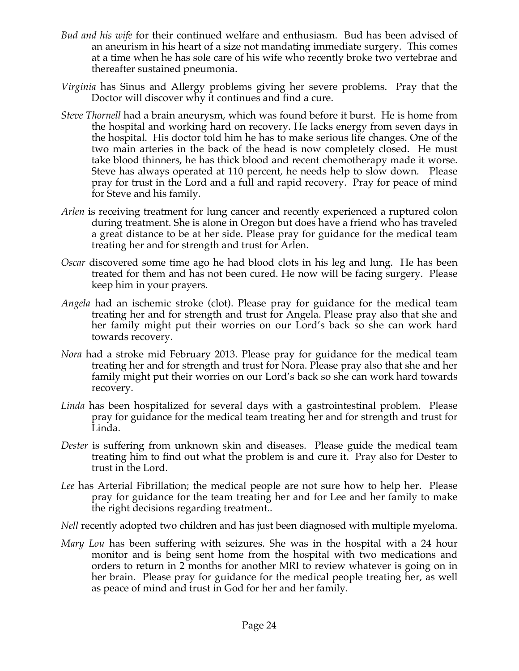- *Bud and his wife* for their continued welfare and enthusiasm. Bud has been advised of an aneurism in his heart of a size not mandating immediate surgery. This comes at a time when he has sole care of his wife who recently broke two vertebrae and thereafter sustained pneumonia.
- *Virginia* has Sinus and Allergy problems giving her severe problems. Pray that the Doctor will discover why it continues and find a cure.
- *Steve Thornell* had a brain aneurysm, which was found before it burst. He is home from the hospital and working hard on recovery. He lacks energy from seven days in the hospital. His doctor told him he has to make serious life changes. One of the two main arteries in the back of the head is now completely closed. He must take blood thinners, he has thick blood and recent chemotherapy made it worse. Steve has always operated at 110 percent, he needs help to slow down. Please pray for trust in the Lord and a full and rapid recovery. Pray for peace of mind for Steve and his family.
- *Arlen* is receiving treatment for lung cancer and recently experienced a ruptured colon during treatment. She is alone in Oregon but does have a friend who has traveled a great distance to be at her side. Please pray for guidance for the medical team treating her and for strength and trust for Arlen.
- *Oscar* discovered some time ago he had blood clots in his leg and lung. He has been treated for them and has not been cured. He now will be facing surgery. Please keep him in your prayers.
- *Angela* had an ischemic stroke (clot). Please pray for guidance for the medical team treating her and for strength and trust for Angela. Please pray also that she and her family might put their worries on our Lord's back so she can work hard towards recovery.
- *Nora* had a stroke mid February 2013. Please pray for guidance for the medical team treating her and for strength and trust for Nora. Please pray also that she and her family might put their worries on our Lord's back so she can work hard towards recovery.
- *Linda* has been hospitalized for several days with a gastrointestinal problem. Please pray for guidance for the medical team treating her and for strength and trust for Linda.
- *Dester* is suffering from unknown skin and diseases. Please guide the medical team treating him to find out what the problem is and cure it. Pray also for Dester to trust in the Lord.
- *Lee* has Arterial Fibrillation; the medical people are not sure how to help her. Please pray for guidance for the team treating her and for Lee and her family to make the right decisions regarding treatment..
- *Nell* recently adopted two children and has just been diagnosed with multiple myeloma.
- *Mary Lou* has been suffering with seizures. She was in the hospital with a 24 hour monitor and is being sent home from the hospital with two medications and orders to return in 2 months for another MRI to review whatever is going on in her brain. Please pray for guidance for the medical people treating her, as well as peace of mind and trust in God for her and her family.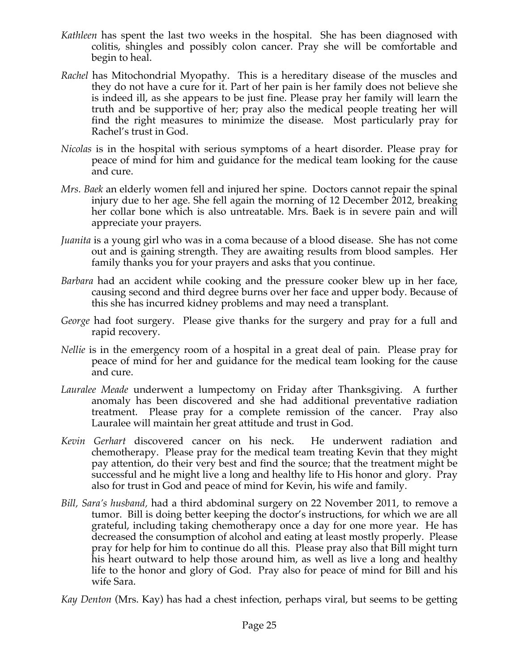- *Kathleen* has spent the last two weeks in the hospital. She has been diagnosed with colitis, shingles and possibly colon cancer. Pray she will be comfortable and begin to heal.
- *Rachel* has Mitochondrial Myopathy. This is a hereditary disease of the muscles and they do not have a cure for it. Part of her pain is her family does not believe she is indeed ill, as she appears to be just fine. Please pray her family will learn the truth and be supportive of her; pray also the medical people treating her will find the right measures to minimize the disease. Most particularly pray for Rachel's trust in God.
- *Nicolas* is in the hospital with serious symptoms of a heart disorder. Please pray for peace of mind for him and guidance for the medical team looking for the cause and cure.
- *Mrs. Baek* an elderly women fell and injured her spine. Doctors cannot repair the spinal injury due to her age. She fell again the morning of 12 December 2012, breaking her collar bone which is also untreatable. Mrs. Baek is in severe pain and will appreciate your prayers.
- *Juanita* is a young girl who was in a coma because of a blood disease. She has not come out and is gaining strength. They are awaiting results from blood samples. Her family thanks you for your prayers and asks that you continue.
- *Barbara* had an accident while cooking and the pressure cooker blew up in her face, causing second and third degree burns over her face and upper body. Because of this she has incurred kidney problems and may need a transplant.
- *George* had foot surgery. Please give thanks for the surgery and pray for a full and rapid recovery.
- *Nellie* is in the emergency room of a hospital in a great deal of pain. Please pray for peace of mind for her and guidance for the medical team looking for the cause and cure.
- *Lauralee Meade* underwent a lumpectomy on Friday after Thanksgiving. A further anomaly has been discovered and she had additional preventative radiation treatment. Please pray for a complete remission of the cancer. Pray also Lauralee will maintain her great attitude and trust in God.
- *Kevin Gerhart* discovered cancer on his neck. He underwent radiation and chemotherapy. Please pray for the medical team treating Kevin that they might pay attention, do their very best and find the source; that the treatment might be successful and he might live a long and healthy life to His honor and glory. Pray also for trust in God and peace of mind for Kevin, his wife and family.
- *Bill, Sara's husband,* had a third abdominal surgery on 22 November 2011, to remove a tumor. Bill is doing better keeping the doctor's instructions, for which we are all grateful, including taking chemotherapy once a day for one more year. He has decreased the consumption of alcohol and eating at least mostly properly. Please pray for help for him to continue do all this. Please pray also that Bill might turn his heart outward to help those around him, as well as live a long and healthy life to the honor and glory of God. Pray also for peace of mind for Bill and his wife Sara.
- *Kay Denton* (Mrs. Kay) has had a chest infection, perhaps viral, but seems to be getting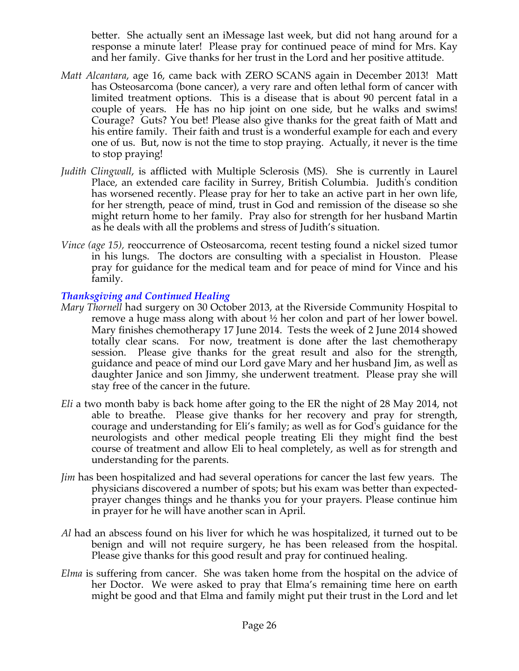better. She actually sent an iMessage last week, but did not hang around for a response a minute later! Please pray for continued peace of mind for Mrs. Kay and her family. Give thanks for her trust in the Lord and her positive attitude.

- *Matt Alcantara*, age 16, came back with ZERO SCANS again in December 2013! Matt has Osteosarcoma (bone cancer), a very rare and often lethal form of cancer with limited treatment options. This is a disease that is about 90 percent fatal in a couple of years. He has no hip joint on one side, but he walks and swims! Courage? Guts? You bet! Please also give thanks for the great faith of Matt and his entire family. Their faith and trust is a wonderful example for each and every one of us. But, now is not the time to stop praying. Actually, it never is the time to stop praying!
- *Judith Clingwall*, is afflicted with Multiple Sclerosis (MS). She is currently in Laurel Place, an extended care facility in Surrey, British Columbia. Judith's condition has worsened recently. Please pray for her to take an active part in her own life, for her strength, peace of mind, trust in God and remission of the disease so she might return home to her family. Pray also for strength for her husband Martin as he deals with all the problems and stress of Judith's situation.
- *Vince (age 15),* reoccurrence of Osteosarcoma, recent testing found a nickel sized tumor in his lungs. The doctors are consulting with a specialist in Houston. Please pray for guidance for the medical team and for peace of mind for Vince and his family.

## *Thanksgiving and Continued Healing*

- *Mary Thornell* had surgery on 30 October 2013, at the Riverside Community Hospital to remove a huge mass along with about ½ her colon and part of her lower bowel. Mary finishes chemotherapy 17 June 2014. Tests the week of 2 June 2014 showed totally clear scans. For now, treatment is done after the last chemotherapy session. Please give thanks for the great result and also for the strength, guidance and peace of mind our Lord gave Mary and her husband Jim, as well as daughter Janice and son Jimmy, she underwent treatment. Please pray she will stay free of the cancer in the future.
- *Eli* a two month baby is back home after going to the ER the night of 28 May 2014, not able to breathe. Please give thanks for her recovery and pray for strength, courage and understanding for Eli's family; as well as for God's guidance for the neurologists and other medical people treating Eli they might find the best course of treatment and allow Eli to heal completely, as well as for strength and understanding for the parents.
- *Jim* has been hospitalized and had several operations for cancer the last few years. The physicians discovered a number of spots; but his exam was better than expectedprayer changes things and he thanks you for your prayers. Please continue him in prayer for he will have another scan in April.
- *Al* had an abscess found on his liver for which he was hospitalized, it turned out to be benign and will not require surgery, he has been released from the hospital. Please give thanks for this good result and pray for continued healing.
- *Elma* is suffering from cancer. She was taken home from the hospital on the advice of her Doctor. We were asked to pray that Elma's remaining time here on earth might be good and that Elma and family might put their trust in the Lord and let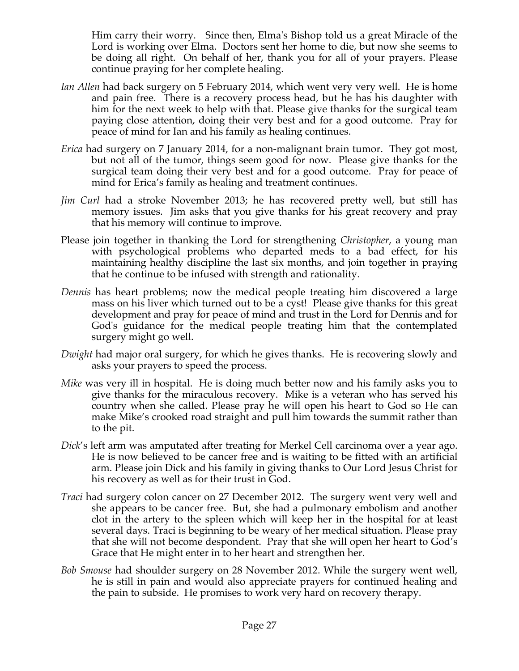Him carry their worry. Since then, Elma's Bishop told us a great Miracle of the Lord is working over Elma. Doctors sent her home to die, but now she seems to be doing all right. On behalf of her, thank you for all of your prayers. Please continue praying for her complete healing.

- *Ian Allen* had back surgery on 5 February 2014, which went very very well. He is home and pain free. There is a recovery process head, but he has his daughter with him for the next week to help with that. Please give thanks for the surgical team paying close attention, doing their very best and for a good outcome. Pray for peace of mind for Ian and his family as healing continues.
- *Erica* had surgery on 7 January 2014, for a non-malignant brain tumor. They got most, but not all of the tumor, things seem good for now. Please give thanks for the surgical team doing their very best and for a good outcome. Pray for peace of mind for Erica's family as healing and treatment continues.
- *Jim Curl* had a stroke November 2013; he has recovered pretty well, but still has memory issues. Jim asks that you give thanks for his great recovery and pray that his memory will continue to improve.
- Please join together in thanking the Lord for strengthening *Christopher*, a young man with psychological problems who departed meds to a bad effect, for his maintaining healthy discipline the last six months, and join together in praying that he continue to be infused with strength and rationality.
- *Dennis* has heart problems; now the medical people treating him discovered a large mass on his liver which turned out to be a cyst! Please give thanks for this great development and pray for peace of mind and trust in the Lord for Dennis and for God's guidance for the medical people treating him that the contemplated surgery might go well.
- *Dwight* had major oral surgery, for which he gives thanks. He is recovering slowly and asks your prayers to speed the process.
- *Mike* was very ill in hospital. He is doing much better now and his family asks you to give thanks for the miraculous recovery. Mike is a veteran who has served his country when she called. Please pray he will open his heart to God so He can make Mike's crooked road straight and pull him towards the summit rather than to the pit.
- *Dick*'s left arm was amputated after treating for Merkel Cell carcinoma over a year ago. He is now believed to be cancer free and is waiting to be fitted with an artificial arm. Please join Dick and his family in giving thanks to Our Lord Jesus Christ for his recovery as well as for their trust in God.
- *Traci* had surgery colon cancer on 27 December 2012. The surgery went very well and she appears to be cancer free. But, she had a pulmonary embolism and another clot in the artery to the spleen which will keep her in the hospital for at least several days. Traci is beginning to be weary of her medical situation. Please pray that she will not become despondent. Pray that she will open her heart to God's Grace that He might enter in to her heart and strengthen her.
- *Bob Smouse* had shoulder surgery on 28 November 2012. While the surgery went well, he is still in pain and would also appreciate prayers for continued healing and the pain to subside. He promises to work very hard on recovery therapy.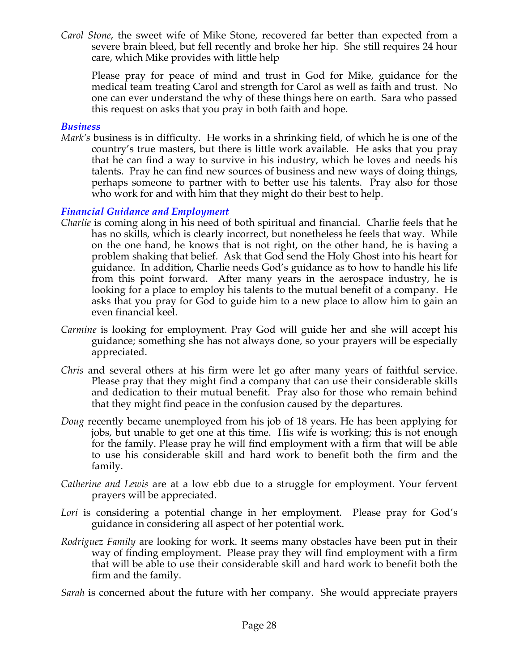*Carol Stone*, the sweet wife of Mike Stone, recovered far better than expected from a severe brain bleed, but fell recently and broke her hip. She still requires 24 hour care, which Mike provides with little help

Please pray for peace of mind and trust in God for Mike, guidance for the medical team treating Carol and strength for Carol as well as faith and trust. No one can ever understand the why of these things here on earth. Sara who passed this request on asks that you pray in both faith and hope.

#### *Business*

*Mark's* business is in difficulty. He works in a shrinking field, of which he is one of the country's true masters, but there is little work available. He asks that you pray that he can find a way to survive in his industry, which he loves and needs his talents. Pray he can find new sources of business and new ways of doing things, perhaps someone to partner with to better use his talents. Pray also for those who work for and with him that they might do their best to help.

#### *Financial Guidance and Employment*

- *Charlie* is coming along in his need of both spiritual and financial. Charlie feels that he has no skills, which is clearly incorrect, but nonetheless he feels that way. While on the one hand, he knows that is not right, on the other hand, he is having a problem shaking that belief. Ask that God send the Holy Ghost into his heart for guidance. In addition, Charlie needs God's guidance as to how to handle his life from this point forward. After many years in the aerospace industry, he is looking for a place to employ his talents to the mutual benefit of a company. He asks that you pray for God to guide him to a new place to allow him to gain an even financial keel.
- *Carmine* is looking for employment. Pray God will guide her and she will accept his guidance; something she has not always done, so your prayers will be especially appreciated.
- *Chris* and several others at his firm were let go after many years of faithful service. Please pray that they might find a company that can use their considerable skills and dedication to their mutual benefit. Pray also for those who remain behind that they might find peace in the confusion caused by the departures.
- *Doug* recently became unemployed from his job of 18 years. He has been applying for jobs, but unable to get one at this time. His wife is working; this is not enough for the family. Please pray he will find employment with a firm that will be able to use his considerable skill and hard work to benefit both the firm and the family.
- *Catherine and Lewis* are at a low ebb due to a struggle for employment. Your fervent prayers will be appreciated.
- *Lori* is considering a potential change in her employment. Please pray for God's guidance in considering all aspect of her potential work.
- *Rodriguez Family* are looking for work. It seems many obstacles have been put in their way of finding employment. Please pray they will find employment with a firm that will be able to use their considerable skill and hard work to benefit both the firm and the family.

*Sarah* is concerned about the future with her company. She would appreciate prayers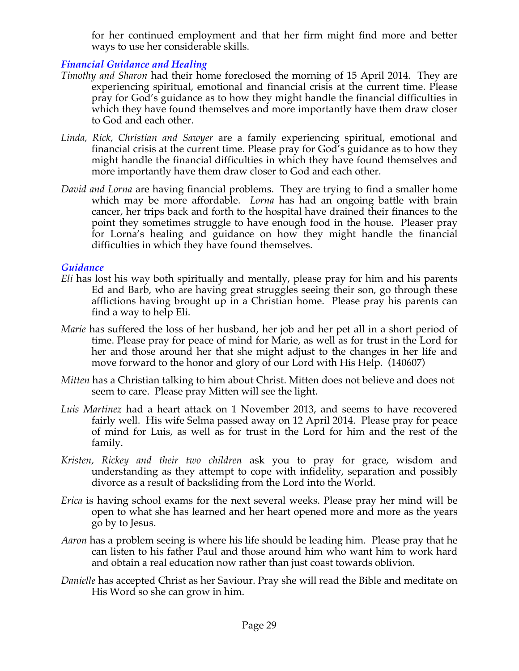for her continued employment and that her firm might find more and better ways to use her considerable skills.

# *Financial Guidance and Healing*

- *Timothy and Sharon* had their home foreclosed the morning of 15 April 2014. They are experiencing spiritual, emotional and financial crisis at the current time. Please pray for God's guidance as to how they might handle the financial difficulties in which they have found themselves and more importantly have them draw closer to God and each other.
- *Linda, Rick, Christian and Sawyer* are a family experiencing spiritual, emotional and financial crisis at the current time. Please pray for God's guidance as to how they might handle the financial difficulties in which they have found themselves and more importantly have them draw closer to God and each other.
- *David and Lorna* are having financial problems. They are trying to find a smaller home which may be more affordable. *Lorna* has had an ongoing battle with brain cancer, her trips back and forth to the hospital have drained their finances to the point they sometimes struggle to have enough food in the house. Pleaser pray for Lorna's healing and guidance on how they might handle the financial difficulties in which they have found themselves.

## *Guidance*

- *Eli* has lost his way both spiritually and mentally, please pray for him and his parents Ed and Barb, who are having great struggles seeing their son, go through these afflictions having brought up in a Christian home. Please pray his parents can find a way to help Eli.
- *Marie* has suffered the loss of her husband, her job and her pet all in a short period of time. Please pray for peace of mind for Marie, as well as for trust in the Lord for her and those around her that she might adjust to the changes in her life and move forward to the honor and glory of our Lord with His Help. (140607)
- *Mitten* has a Christian talking to him about Christ. Mitten does not believe and does not seem to care. Please pray Mitten will see the light.
- *Luis Martinez* had a heart attack on 1 November 2013, and seems to have recovered fairly well. His wife Selma passed away on 12 April 2014. Please pray for peace of mind for Luis, as well as for trust in the Lord for him and the rest of the family.
- *Kristen, Rickey and their two children* ask you to pray for grace, wisdom and understanding as they attempt to cope with infidelity, separation and possibly divorce as a result of backsliding from the Lord into the World.
- *Erica* is having school exams for the next several weeks. Please pray her mind will be open to what she has learned and her heart opened more and more as the years go by to Jesus.
- *Aaron* has a problem seeing is where his life should be leading him. Please pray that he can listen to his father Paul and those around him who want him to work hard and obtain a real education now rather than just coast towards oblivion.
- *Danielle* has accepted Christ as her Saviour. Pray she will read the Bible and meditate on His Word so she can grow in him.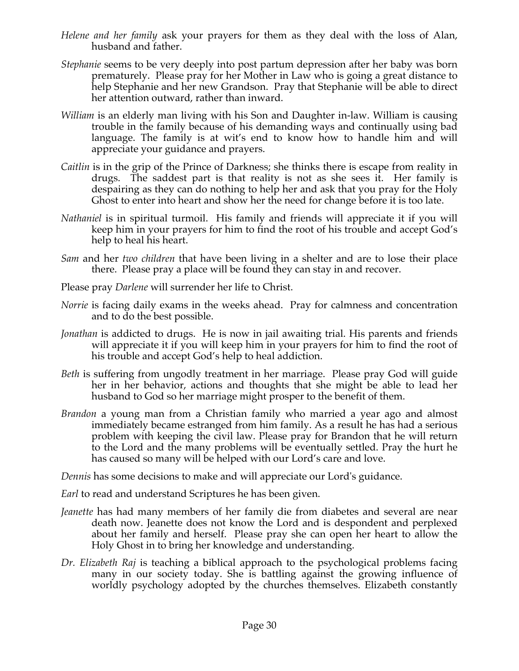- *Helene and her family* ask your prayers for them as they deal with the loss of Alan, husband and father.
- *Stephanie* seems to be very deeply into post partum depression after her baby was born prematurely. Please pray for her Mother in Law who is going a great distance to help Stephanie and her new Grandson. Pray that Stephanie will be able to direct her attention outward, rather than inward.
- *William* is an elderly man living with his Son and Daughter in-law. William is causing trouble in the family because of his demanding ways and continually using bad language. The family is at wit's end to know how to handle him and will appreciate your guidance and prayers.
- *Caitlin* is in the grip of the Prince of Darkness; she thinks there is escape from reality in drugs. The saddest part is that reality is not as she sees it. Her family is despairing as they can do nothing to help her and ask that you pray for the Holy Ghost to enter into heart and show her the need for change before it is too late.
- *Nathaniel* is in spiritual turmoil. His family and friends will appreciate it if you will keep him in your prayers for him to find the root of his trouble and accept God's help to heal his heart.
- *Sam* and her *two children* that have been living in a shelter and are to lose their place there. Please pray a place will be found they can stay in and recover.
- Please pray *Darlene* will surrender her life to Christ.
- *Norrie* is facing daily exams in the weeks ahead. Pray for calmness and concentration and to do the best possible.
- *Jonathan* is addicted to drugs. He is now in jail awaiting trial. His parents and friends will appreciate it if you will keep him in your prayers for him to find the root of his trouble and accept God's help to heal addiction.
- *Beth* is suffering from ungodly treatment in her marriage. Please pray God will guide her in her behavior, actions and thoughts that she might be able to lead her husband to God so her marriage might prosper to the benefit of them.
- *Brandon* a young man from a Christian family who married a year ago and almost immediately became estranged from him family. As a result he has had a serious problem with keeping the civil law. Please pray for Brandon that he will return to the Lord and the many problems will be eventually settled. Pray the hurt he has caused so many will be helped with our Lord's care and love.

*Dennis* has some decisions to make and will appreciate our Lord's guidance.

*Earl* to read and understand Scriptures he has been given.

- *Jeanette* has had many members of her family die from diabetes and several are near death now. Jeanette does not know the Lord and is despondent and perplexed about her family and herself. Please pray she can open her heart to allow the Holy Ghost in to bring her knowledge and understanding.
- *Dr. Elizabeth Raj* is teaching a biblical approach to the psychological problems facing many in our society today. She is battling against the growing influence of worldly psychology adopted by the churches themselves. Elizabeth constantly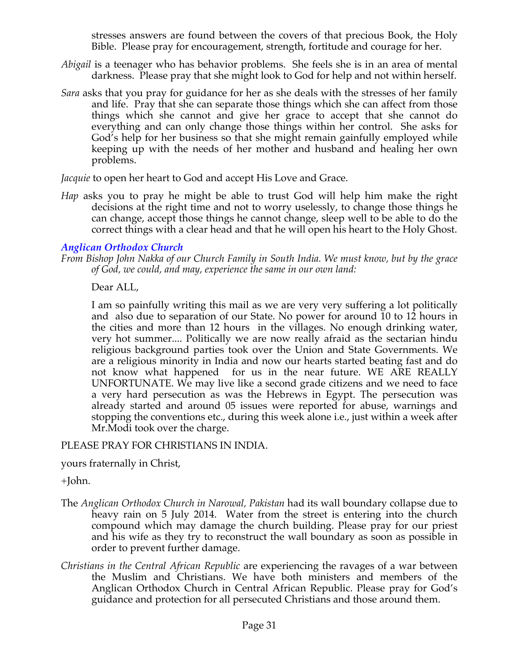stresses answers are found between the covers of that precious Book, the Holy Bible. Please pray for encouragement, strength, fortitude and courage for her.

- *Abigail* is a teenager who has behavior problems. She feels she is in an area of mental darkness. Please pray that she might look to God for help and not within herself.
- *Sara* asks that you pray for guidance for her as she deals with the stresses of her family and life. Pray that she can separate those things which she can affect from those things which she cannot and give her grace to accept that she cannot do everything and can only change those things within her control. She asks for God's help for her business so that she might remain gainfully employed while keeping up with the needs of her mother and husband and healing her own problems.

*Jacquie* to open her heart to God and accept His Love and Grace.

*Hap* asks you to pray he might be able to trust God will help him make the right decisions at the right time and not to worry uselessly, to change those things he can change, accept those things he cannot change, sleep well to be able to do the correct things with a clear head and that he will open his heart to the Holy Ghost.

## *Anglican Orthodox Church*

*From Bishop John Nakka of our Church Family in South India. We must know, but by the grace of God, we could, and may, experience the same in our own land:*

Dear ALL,

I am so painfully writing this mail as we are very very suffering a lot politically and also due to separation of our State. No power for around 10 to 12 hours in the cities and more than 12 hours in the villages. No enough drinking water, very hot summer.... Politically we are now really afraid as the sectarian hindu religious background parties took over the Union and State Governments. We are a religious minority in India and now our hearts started beating fast and do not know what happened for us in the near future. WE ARE REALLY UNFORTUNATE. We may live like a second grade citizens and we need to face a very hard persecution as was the Hebrews in Egypt. The persecution was already started and around 05 issues were reported for abuse, warnings and stopping the conventions etc., during this week alone i.e., just within a week after Mr.Modi took over the charge.

PLEASE PRAY FOR CHRISTIANS IN INDIA.

yours fraternally in Christ,

+John.

- The *Anglican Orthodox Church in Narowal, Pakistan* had its wall boundary collapse due to heavy rain on 5 July 2014. Water from the street is entering into the church compound which may damage the church building. Please pray for our priest and his wife as they try to reconstruct the wall boundary as soon as possible in order to prevent further damage.
- *Christians in the Central African Republic* are experiencing the ravages of a war between the Muslim and Christians. We have both ministers and members of the Anglican Orthodox Church in Central African Republic. Please pray for God's guidance and protection for all persecuted Christians and those around them.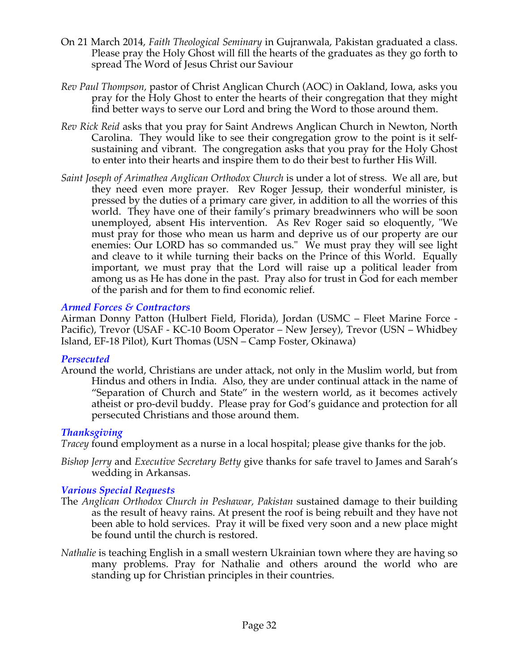- On 21 March 2014, *Faith Theological Seminary* in Gujranwala, Pakistan graduated a class. Please pray the Holy Ghost will fill the hearts of the graduates as they go forth to spread The Word of Jesus Christ our Saviour
- *Rev Paul Thompson,* pastor of Christ Anglican Church (AOC) in Oakland, Iowa, asks you pray for the Holy Ghost to enter the hearts of their congregation that they might find better ways to serve our Lord and bring the Word to those around them.
- *Rev Rick Reid* asks that you pray for Saint Andrews Anglican Church in Newton, North Carolina. They would like to see their congregation grow to the point is it selfsustaining and vibrant. The congregation asks that you pray for the Holy Ghost to enter into their hearts and inspire them to do their best to further His Will.
- *Saint Joseph of Arimathea Anglican Orthodox Church* is under a lot of stress. We all are, but they need even more prayer. Rev Roger Jessup, their wonderful minister, is pressed by the duties of a primary care giver, in addition to all the worries of this world. They have one of their family's primary breadwinners who will be soon unemployed, absent His intervention. As Rev Roger said so eloquently, "We must pray for those who mean us harm and deprive us of our property are our enemies: Our LORD has so commanded us." We must pray they will see light and cleave to it while turning their backs on the Prince of this World. Equally important, we must pray that the Lord will raise up a political leader from among us as He has done in the past. Pray also for trust in God for each member of the parish and for them to find economic relief.

## *Armed Forces & Contractors*

Airman Donny Patton (Hulbert Field, Florida), Jordan (USMC – Fleet Marine Force - Pacific), Trevor (USAF - KC-10 Boom Operator – New Jersey), Trevor (USN – Whidbey Island, EF-18 Pilot), Kurt Thomas (USN – Camp Foster, Okinawa)

#### *Persecuted*

Around the world, Christians are under attack, not only in the Muslim world, but from Hindus and others in India. Also, they are under continual attack in the name of "Separation of Church and State" in the western world, as it becomes actively atheist or pro-devil buddy. Please pray for God's guidance and protection for all persecuted Christians and those around them.

# *Thanksgiving*

*Tracey* found employment as a nurse in a local hospital; please give thanks for the job.

*Bishop Jerry* and *Executive Secretary Betty* give thanks for safe travel to James and Sarah's wedding in Arkansas.

# *Various Special Requests*

- The *Anglican Orthodox Church in Peshawar, Pakistan* sustained damage to their building as the result of heavy rains. At present the roof is being rebuilt and they have not been able to hold services. Pray it will be fixed very soon and a new place might be found until the church is restored.
- *Nathalie* is teaching English in a small western Ukrainian town where they are having so many problems. Pray for Nathalie and others around the world who are standing up for Christian principles in their countries.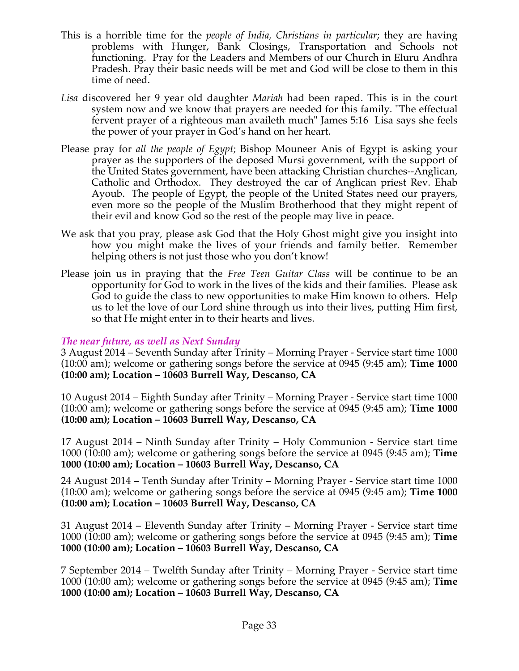- This is a horrible time for the *people of India, Christians in particular*; they are having problems with Hunger, Bank Closings, Transportation and Schools not functioning. Pray for the Leaders and Members of our Church in Eluru Andhra Pradesh. Pray their basic needs will be met and God will be close to them in this time of need.
- *Lisa* discovered her 9 year old daughter *Mariah* had been raped. This is in the court system now and we know that prayers are needed for this family. "The effectual fervent prayer of a righteous man availeth much" James 5:16 Lisa says she feels the power of your prayer in God's hand on her heart.
- Please pray for *all the people of Egypt*; Bishop Mouneer Anis of Egypt is asking your prayer as the supporters of the deposed Mursi government, with the support of the United States government, have been attacking Christian churches--Anglican, Catholic and Orthodox. They destroyed the car of Anglican priest Rev. Ehab Ayoub. The people of Egypt, the people of the United States need our prayers, even more so the people of the Muslim Brotherhood that they might repent of their evil and know God so the rest of the people may live in peace.
- We ask that you pray, please ask God that the Holy Ghost might give you insight into how you might make the lives of your friends and family better. Remember helping others is not just those who you don't know!
- Please join us in praying that the *Free Teen Guitar Class* will be continue to be an opportunity for God to work in the lives of the kids and their families. Please ask God to guide the class to new opportunities to make Him known to others. Help us to let the love of our Lord shine through us into their lives, putting Him first, so that He might enter in to their hearts and lives.

#### *The near future, as well as Next Sunday*

3 August 2014 – Seventh Sunday after Trinity – Morning Prayer - Service start time 1000 (10:00 am); welcome or gathering songs before the service at 0945 (9:45 am); **Time 1000 (10:00 am); Location – 10603 Burrell Way, Descanso, CA**

10 August 2014 – Eighth Sunday after Trinity – Morning Prayer - Service start time 1000 (10:00 am); welcome or gathering songs before the service at 0945 (9:45 am); **Time 1000 (10:00 am); Location – 10603 Burrell Way, Descanso, CA**

17 August 2014 – Ninth Sunday after Trinity – Holy Communion - Service start time 1000 (10:00 am); welcome or gathering songs before the service at 0945 (9:45 am); **Time 1000 (10:00 am); Location – 10603 Burrell Way, Descanso, CA**

24 August 2014 – Tenth Sunday after Trinity – Morning Prayer - Service start time 1000 (10:00 am); welcome or gathering songs before the service at 0945 (9:45 am); **Time 1000 (10:00 am); Location – 10603 Burrell Way, Descanso, CA**

31 August 2014 – Eleventh Sunday after Trinity – Morning Prayer - Service start time 1000 (10:00 am); welcome or gathering songs before the service at 0945 (9:45 am); **Time 1000 (10:00 am); Location – 10603 Burrell Way, Descanso, CA**

7 September 2014 – Twelfth Sunday after Trinity – Morning Prayer - Service start time 1000 (10:00 am); welcome or gathering songs before the service at 0945 (9:45 am); **Time 1000 (10:00 am); Location – 10603 Burrell Way, Descanso, CA**